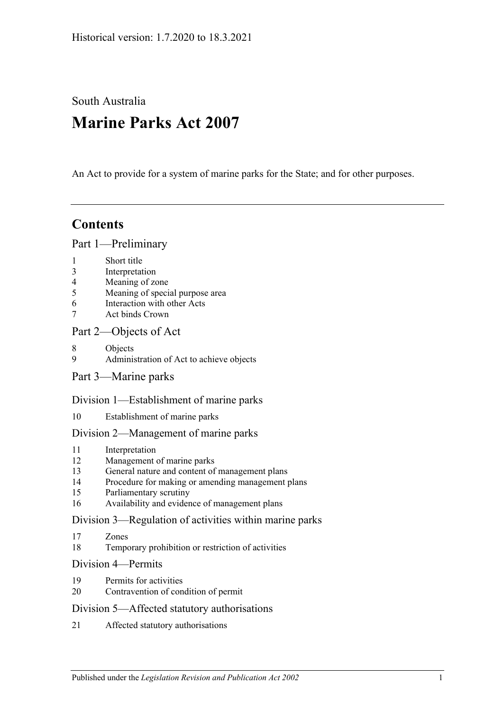South Australia

# **Marine Parks Act 2007**

An Act to provide for a system of marine parks for the State; and for other purposes.

# **Contents**

#### [Part 1—Preliminary](#page-2-0)

- 1 [Short title](#page-2-1)
- 3 [Interpretation](#page-2-2)
- 4 [Meaning of zone](#page-4-0)
- 5 [Meaning of special purpose area](#page-5-0)
- 6 [Interaction with other Acts](#page-5-1)
- 7 [Act binds Crown](#page-5-2)

## [Part 2—Objects of Act](#page-6-0)

- 8 [Objects](#page-6-1)
- 9 [Administration of Act to achieve objects](#page-7-0)
- [Part 3—Marine parks](#page-7-1)

#### [Division 1—Establishment of marine parks](#page-7-2)

10 [Establishment of marine parks](#page-7-3)

#### [Division 2—Management of marine parks](#page-9-0)

- 11 [Interpretation](#page-9-1)
- 12 [Management of marine parks](#page-9-2)
- 13 [General nature and content of management plans](#page-9-3)
- 14 [Procedure for making or amending management plans](#page-10-0)
- 15 [Parliamentary scrutiny](#page-12-0)
- 16 [Availability and evidence of management plans](#page-12-1)

#### [Division 3—Regulation of activities within marine parks](#page-12-2)

- 17 [Zones](#page-12-3)
- 18 [Temporary prohibition or restriction of activities](#page-12-4)

#### [Division 4—Permits](#page-13-0)

- 19 [Permits for activities](#page-13-1)
- 20 [Contravention of condition of permit](#page-14-0)

#### [Division 5—Affected statutory authorisations](#page-14-1)

21 [Affected statutory authorisations](#page-14-2)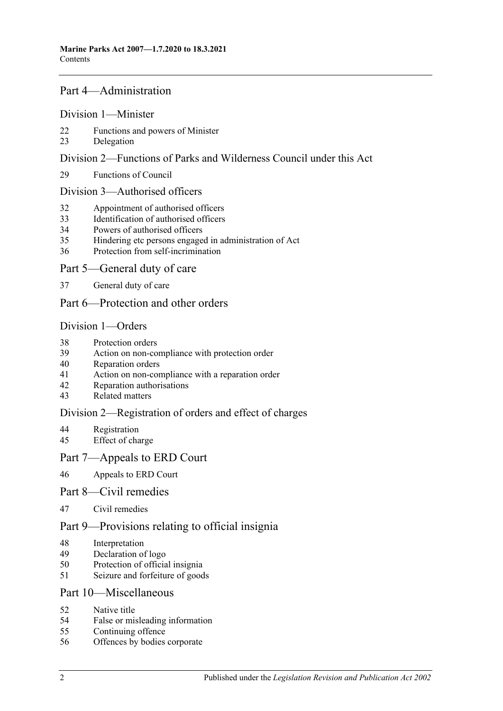#### [Part 4—Administration](#page-15-0)

#### [Division 1—Minister](#page-15-1)

- [Functions and powers of Minister](#page-15-2)
- [Delegation](#page-16-0)

#### [Division 2—Functions of Parks and Wilderness Council under this Act](#page-16-1)

[Functions of Council](#page-16-2)

#### [Division 3—Authorised officers](#page-17-0)

- Appointment [of authorised officers](#page-17-1)
- [Identification of authorised officers](#page-17-2)
- [Powers of authorised officers](#page-18-0)
- [Hindering etc persons engaged in administration of Act](#page-19-0)
- [Protection from self-incrimination](#page-20-0)

#### [Part 5—General duty of care](#page-20-1)

[General duty of care](#page-20-2)

## [Part 6—Protection and other orders](#page-21-0)

#### [Division 1—Orders](#page-21-1)

- [Protection orders](#page-21-2)
- [Action on non-compliance with protection order](#page-22-0)
- [Reparation orders](#page-22-1)
- [Action on non-compliance with a reparation order](#page-23-0)
- [Reparation authorisations](#page-24-0)
- [Related matters](#page-25-0)

#### [Division 2—Registration of orders and effect of charges](#page-25-1)

- [Registration](#page-25-2)<br>45 Effect of cha
- [Effect of charge](#page-26-0)

#### [Part 7—Appeals to ERD Court](#page-26-1)

[Appeals to ERD Court](#page-26-2)

#### [Part 8—Civil remedies](#page-28-0)

[Civil remedies](#page-28-1)

## [Part 9—Provisions relating to official insignia](#page-31-0)

- [Interpretation](#page-31-1)
- [Declaration of logo](#page-31-2)
- [Protection of official insignia](#page-31-3)
- [Seizure and forfeiture of goods](#page-32-0)

#### [Part 10—Miscellaneous](#page-33-0)

- [Native title](#page-33-1)
- [False or misleading information](#page-33-2)
- [Continuing offence](#page-33-3)
- [Offences by bodies corporate](#page-33-4)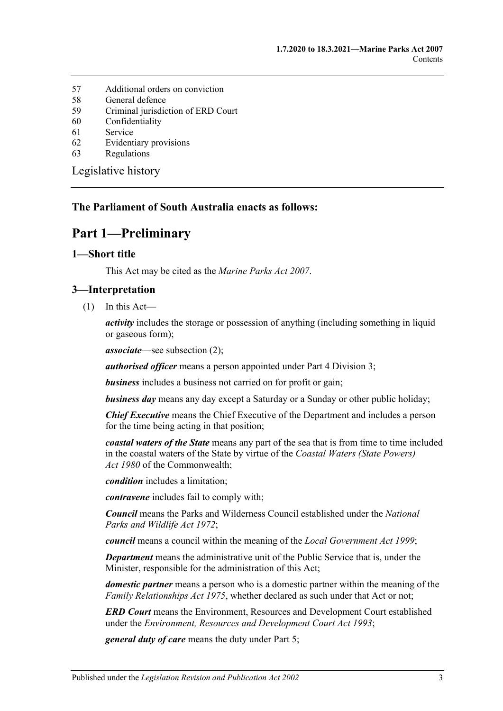- 57 [Additional orders on conviction](#page-34-0)
- 58 [General defence](#page-34-1)
- 59 [Criminal jurisdiction of ERD Court](#page-34-2)
- 60 [Confidentiality](#page-34-3)
- 61 [Service](#page-35-0)
- 62 [Evidentiary provisions](#page-35-1)
- 63 [Regulations](#page-36-0)

[Legislative history](#page-37-0)

#### <span id="page-2-0"></span>**The Parliament of South Australia enacts as follows:**

# **Part 1—Preliminary**

#### <span id="page-2-1"></span>**1—Short title**

This Act may be cited as the *Marine Parks Act 2007*.

#### <span id="page-2-2"></span>**3—Interpretation**

 $(1)$  In this Act—

*activity* includes the storage or possession of anything (including something in liquid or gaseous form);

*associate*—see [subsection](#page-3-0) (2);

*authorised officer* means a person appointed under [Part 4 Division 3;](#page-17-0)

*business* includes a business not carried on for profit or gain;

*business day* means any day except a Saturday or a Sunday or other public holiday;

*Chief Executive* means the Chief Executive of the Department and includes a person for the time being acting in that position;

*coastal waters of the State* means any part of the sea that is from time to time included in the coastal waters of the State by virtue of the *Coastal Waters (State Powers) Act 1980* of the Commonwealth;

*condition* includes a limitation;

*contravene* includes fail to comply with;

*Council* means the Parks and Wilderness Council established under the *[National](http://www.legislation.sa.gov.au/index.aspx?action=legref&type=act&legtitle=National%20Parks%20and%20Wildlife%20Act%201972)  [Parks and Wildlife Act](http://www.legislation.sa.gov.au/index.aspx?action=legref&type=act&legtitle=National%20Parks%20and%20Wildlife%20Act%201972) 1972*;

*council* means a council within the meaning of the *[Local Government Act](http://www.legislation.sa.gov.au/index.aspx?action=legref&type=act&legtitle=Local%20Government%20Act%201999) 1999*;

*Department* means the administrative unit of the Public Service that is, under the Minister, responsible for the administration of this Act;

*domestic partner* means a person who is a domestic partner within the meaning of the *[Family Relationships Act](http://www.legislation.sa.gov.au/index.aspx?action=legref&type=act&legtitle=Family%20Relationships%20Act%201975) 1975*, whether declared as such under that Act or not;

*ERD Court* means the Environment, Resources and Development Court established under the *[Environment, Resources and Development Court Act](http://www.legislation.sa.gov.au/index.aspx?action=legref&type=act&legtitle=Environment%20Resources%20and%20Development%20Court%20Act%201993) 1993*;

*general duty of care* means the duty under [Part 5;](#page-20-1)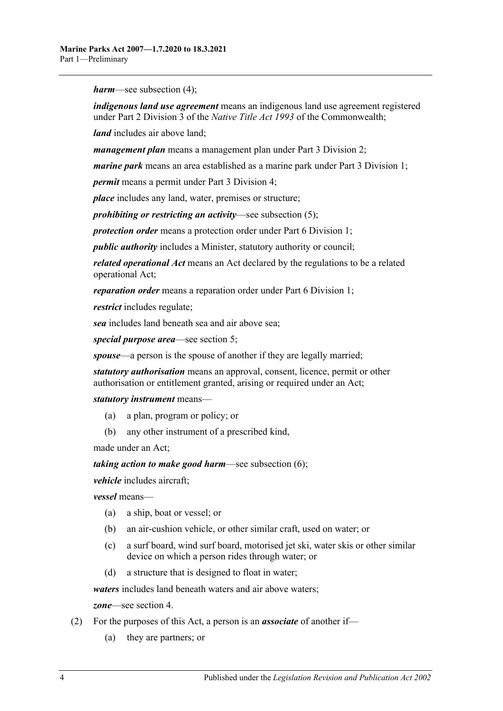*harm*—see [subsection](#page-4-1) (4);

*indigenous land use agreement* means an indigenous land use agreement registered under Part 2 Division 3 of the *Native Title Act 1993* of the Commonwealth;

*land* includes air above land;

*management plan* means a management plan under [Part 3 Division 2;](#page-9-0)

*marine park* means an area established as a marine park under [Part 3 Division 1;](#page-7-2)

*permit* means a permit under [Part 3 Division 4;](#page-13-0)

*place* includes any land, water, premises or structure;

*prohibiting or restricting an activity*—see [subsection](#page-4-2) (5);

*protection order* means a protection order under [Part 6 Division 1;](#page-21-1)

*public authority* includes a Minister, statutory authority or council;

*related operational Act* means an Act declared by the regulations to be a related operational Act;

*reparation order* means a reparation order under [Part 6 Division 1;](#page-21-1)

*restrict* includes regulate;

*sea* includes land beneath sea and air above sea;

*special purpose area*—see [section](#page-5-0) 5;

*spouse*—a person is the spouse of another if they are legally married;

*statutory authorisation* means an approval, consent, licence, permit or other authorisation or entitlement granted, arising or required under an Act;

*statutory instrument* means—

- (a) a plan, program or policy; or
- (b) any other instrument of a prescribed kind,

made under an Act;

*taking action to make good harm*—see [subsection](#page-4-3) (6);

*vehicle* includes aircraft;

*vessel* means—

- (a) a ship, boat or vessel; or
- (b) an air-cushion vehicle, or other similar craft, used on water; or
- (c) a surf board, wind surf board, motorised jet ski, water skis or other similar device on which a person rides through water; or
- (d) a structure that is designed to float in water;

*waters* includes land beneath waters and air above waters;

*zone*—see [section](#page-4-0) 4.

- <span id="page-3-0"></span>(2) For the purposes of this Act, a person is an *associate* of another if—
	- (a) they are partners; or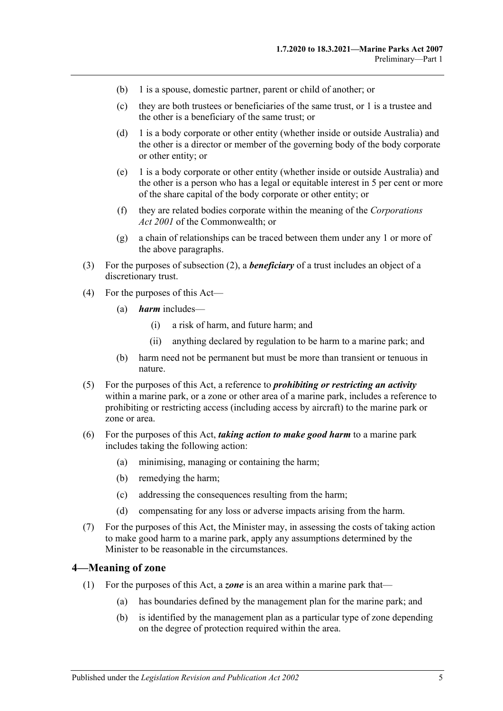- (b) 1 is a spouse, domestic partner, parent or child of another; or
- (c) they are both trustees or beneficiaries of the same trust, or 1 is a trustee and the other is a beneficiary of the same trust; or
- (d) 1 is a body corporate or other entity (whether inside or outside Australia) and the other is a director or member of the governing body of the body corporate or other entity; or
- (e) 1 is a body corporate or other entity (whether inside or outside Australia) and the other is a person who has a legal or equitable interest in 5 per cent or more of the share capital of the body corporate or other entity; or
- (f) they are related bodies corporate within the meaning of the *Corporations Act 2001* of the Commonwealth; or
- (g) a chain of relationships can be traced between them under any 1 or more of the above paragraphs.
- (3) For the purposes of [subsection](#page-3-0) (2), a *beneficiary* of a trust includes an object of a discretionary trust.
- <span id="page-4-1"></span>(4) For the purposes of this Act—
	- (a) *harm* includes—
		- (i) a risk of harm, and future harm; and
		- (ii) anything declared by regulation to be harm to a marine park; and
	- (b) harm need not be permanent but must be more than transient or tenuous in nature.
- <span id="page-4-2"></span>(5) For the purposes of this Act, a reference to *prohibiting or restricting an activity* within a marine park, or a zone or other area of a marine park, includes a reference to prohibiting or restricting access (including access by aircraft) to the marine park or zone or area.
- <span id="page-4-3"></span>(6) For the purposes of this Act, *taking action to make good harm* to a marine park includes taking the following action:
	- (a) minimising, managing or containing the harm;
	- (b) remedying the harm;
	- (c) addressing the consequences resulting from the harm;
	- (d) compensating for any loss or adverse impacts arising from the harm.
- (7) For the purposes of this Act, the Minister may, in assessing the costs of taking action to make good harm to a marine park, apply any assumptions determined by the Minister to be reasonable in the circumstances.

#### <span id="page-4-0"></span>**4—Meaning of zone**

- (1) For the purposes of this Act, a *zone* is an area within a marine park that—
	- (a) has boundaries defined by the management plan for the marine park; and
	- (b) is identified by the management plan as a particular type of zone depending on the degree of protection required within the area.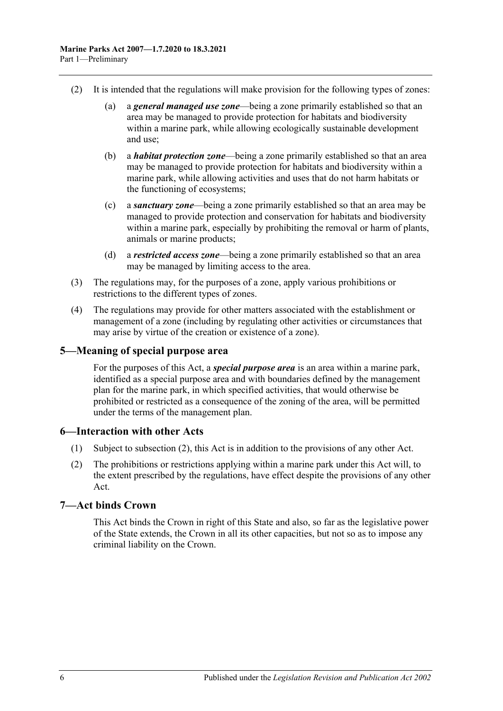- (2) It is intended that the regulations will make provision for the following types of zones:
	- (a) a *general managed use zone*—being a zone primarily established so that an area may be managed to provide protection for habitats and biodiversity within a marine park, while allowing ecologically sustainable development and use;
	- (b) a *habitat protection zone*—being a zone primarily established so that an area may be managed to provide protection for habitats and biodiversity within a marine park, while allowing activities and uses that do not harm habitats or the functioning of ecosystems;
	- (c) a *sanctuary zone*—being a zone primarily established so that an area may be managed to provide protection and conservation for habitats and biodiversity within a marine park, especially by prohibiting the removal or harm of plants, animals or marine products;
	- (d) a *restricted access zone*—being a zone primarily established so that an area may be managed by limiting access to the area.
- (3) The regulations may, for the purposes of a zone, apply various prohibitions or restrictions to the different types of zones.
- (4) The regulations may provide for other matters associated with the establishment or management of a zone (including by regulating other activities or circumstances that may arise by virtue of the creation or existence of a zone).

#### <span id="page-5-0"></span>**5—Meaning of special purpose area**

For the purposes of this Act, a *special purpose area* is an area within a marine park, identified as a special purpose area and with boundaries defined by the management plan for the marine park, in which specified activities, that would otherwise be prohibited or restricted as a consequence of the zoning of the area, will be permitted under the terms of the management plan.

#### <span id="page-5-1"></span>**6—Interaction with other Acts**

- (1) Subject to [subsection](#page-5-3) (2), this Act is in addition to the provisions of any other Act.
- <span id="page-5-3"></span>(2) The prohibitions or restrictions applying within a marine park under this Act will, to the extent prescribed by the regulations, have effect despite the provisions of any other Act.

## <span id="page-5-2"></span>**7—Act binds Crown**

This Act binds the Crown in right of this State and also, so far as the legislative power of the State extends, the Crown in all its other capacities, but not so as to impose any criminal liability on the Crown.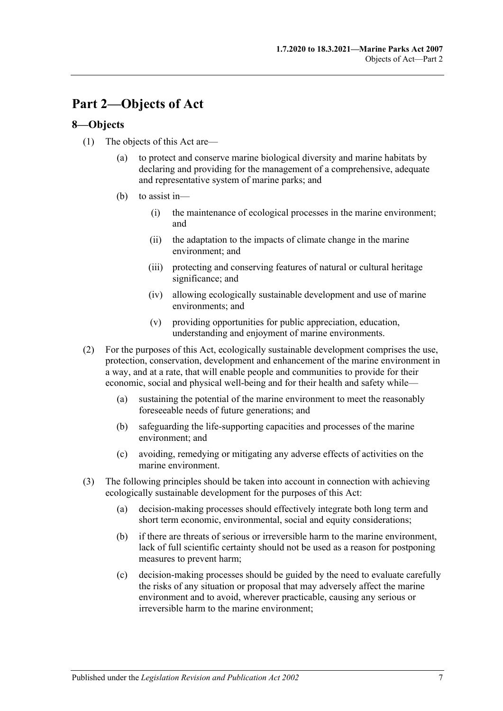# <span id="page-6-0"></span>**Part 2—Objects of Act**

## <span id="page-6-1"></span>**8—Objects**

- (1) The objects of this Act are—
	- (a) to protect and conserve marine biological diversity and marine habitats by declaring and providing for the management of a comprehensive, adequate and representative system of marine parks; and
	- (b) to assist in—
		- (i) the maintenance of ecological processes in the marine environment; and
		- (ii) the adaptation to the impacts of climate change in the marine environment; and
		- (iii) protecting and conserving features of natural or cultural heritage significance; and
		- (iv) allowing ecologically sustainable development and use of marine environments; and
		- (v) providing opportunities for public appreciation, education, understanding and enjoyment of marine environments.
- (2) For the purposes of this Act, ecologically sustainable development comprises the use, protection, conservation, development and enhancement of the marine environment in a way, and at a rate, that will enable people and communities to provide for their economic, social and physical well-being and for their health and safety while—
	- (a) sustaining the potential of the marine environment to meet the reasonably foreseeable needs of future generations; and
	- (b) safeguarding the life-supporting capacities and processes of the marine environment; and
	- (c) avoiding, remedying or mitigating any adverse effects of activities on the marine environment.
- (3) The following principles should be taken into account in connection with achieving ecologically sustainable development for the purposes of this Act:
	- (a) decision-making processes should effectively integrate both long term and short term economic, environmental, social and equity considerations;
	- (b) if there are threats of serious or irreversible harm to the marine environment, lack of full scientific certainty should not be used as a reason for postponing measures to prevent harm;
	- (c) decision-making processes should be guided by the need to evaluate carefully the risks of any situation or proposal that may adversely affect the marine environment and to avoid, wherever practicable, causing any serious or irreversible harm to the marine environment;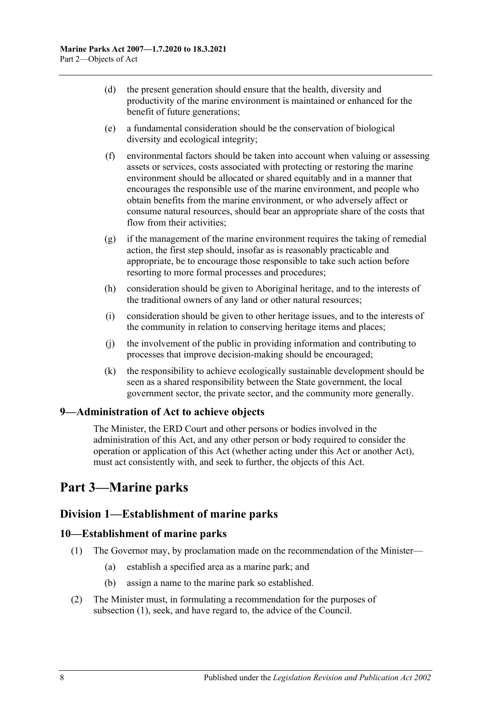- (d) the present generation should ensure that the health, diversity and productivity of the marine environment is maintained or enhanced for the benefit of future generations;
- (e) a fundamental consideration should be the conservation of biological diversity and ecological integrity;
- (f) environmental factors should be taken into account when valuing or assessing assets or services, costs associated with protecting or restoring the marine environment should be allocated or shared equitably and in a manner that encourages the responsible use of the marine environment, and people who obtain benefits from the marine environment, or who adversely affect or consume natural resources, should bear an appropriate share of the costs that flow from their activities;
- (g) if the management of the marine environment requires the taking of remedial action, the first step should, insofar as is reasonably practicable and appropriate, be to encourage those responsible to take such action before resorting to more formal processes and procedures;
- (h) consideration should be given to Aboriginal heritage, and to the interests of the traditional owners of any land or other natural resources;
- (i) consideration should be given to other heritage issues, and to the interests of the community in relation to conserving heritage items and places;
- (j) the involvement of the public in providing information and contributing to processes that improve decision-making should be encouraged;
- (k) the responsibility to achieve ecologically sustainable development should be seen as a shared responsibility between the State government, the local government sector, the private sector, and the community more generally.

## <span id="page-7-0"></span>**9—Administration of Act to achieve objects**

The Minister, the ERD Court and other persons or bodies involved in the administration of this Act, and any other person or body required to consider the operation or application of this Act (whether acting under this Act or another Act), must act consistently with, and seek to further, the objects of this Act.

# <span id="page-7-1"></span>**Part 3—Marine parks**

## <span id="page-7-2"></span>**Division 1—Establishment of marine parks**

#### <span id="page-7-4"></span><span id="page-7-3"></span>**10—Establishment of marine parks**

- (1) The Governor may, by proclamation made on the recommendation of the Minister—
	- (a) establish a specified area as a marine park; and
	- (b) assign a name to the marine park so established.
- (2) The Minister must, in formulating a recommendation for the purposes of [subsection](#page-7-4) (1), seek, and have regard to, the advice of the Council.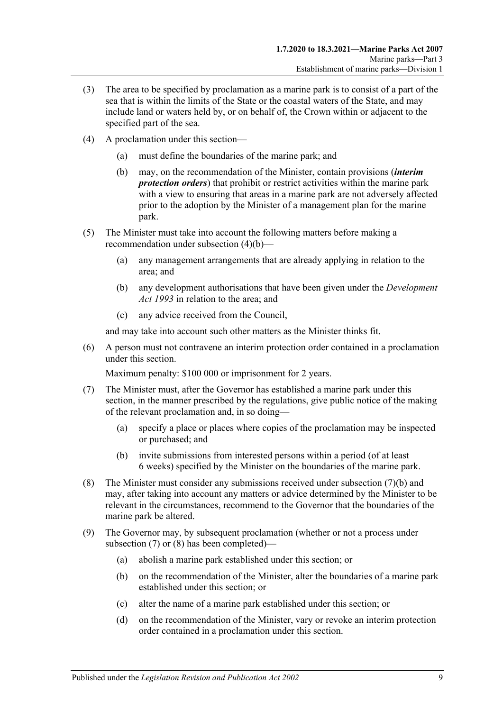- (3) The area to be specified by proclamation as a marine park is to consist of a part of the sea that is within the limits of the State or the coastal waters of the State, and may include land or waters held by, or on behalf of, the Crown within or adjacent to the specified part of the sea.
- <span id="page-8-0"></span>(4) A proclamation under this section—
	- (a) must define the boundaries of the marine park; and
	- (b) may, on the recommendation of the Minister, contain provisions (*interim protection orders*) that prohibit or restrict activities within the marine park with a view to ensuring that areas in a marine park are not adversely affected prior to the adoption by the Minister of a management plan for the marine park.
- (5) The Minister must take into account the following matters before making a recommendation under [subsection](#page-8-0) (4)(b)—
	- (a) any management arrangements that are already applying in relation to the area; and
	- (b) any development authorisations that have been given under the *[Development](http://www.legislation.sa.gov.au/index.aspx?action=legref&type=act&legtitle=Development%20Act%201993)  Act [1993](http://www.legislation.sa.gov.au/index.aspx?action=legref&type=act&legtitle=Development%20Act%201993)* in relation to the area; and
	- (c) any advice received from the Council,

and may take into account such other matters as the Minister thinks fit.

(6) A person must not contravene an interim protection order contained in a proclamation under this section.

Maximum penalty: \$100 000 or imprisonment for 2 years.

- <span id="page-8-2"></span>(7) The Minister must, after the Governor has established a marine park under this section, in the manner prescribed by the regulations, give public notice of the making of the relevant proclamation and, in so doing—
	- (a) specify a place or places where copies of the proclamation may be inspected or purchased; and
	- (b) invite submissions from interested persons within a period (of at least 6 weeks) specified by the Minister on the boundaries of the marine park.
- <span id="page-8-3"></span><span id="page-8-1"></span>(8) The Minister must consider any submissions received under [subsection](#page-8-1) (7)(b) and may, after taking into account any matters or advice determined by the Minister to be relevant in the circumstances, recommend to the Governor that the boundaries of the marine park be altered.
- <span id="page-8-7"></span><span id="page-8-6"></span><span id="page-8-5"></span><span id="page-8-4"></span>(9) The Governor may, by subsequent proclamation (whether or not a process under [subsection](#page-8-2) (7) or [\(8\)](#page-8-3) has been completed)—
	- (a) abolish a marine park established under this section; or
	- (b) on the recommendation of the Minister, alter the boundaries of a marine park established under this section; or
	- (c) alter the name of a marine park established under this section; or
	- (d) on the recommendation of the Minister, vary or revoke an interim protection order contained in a proclamation under this section.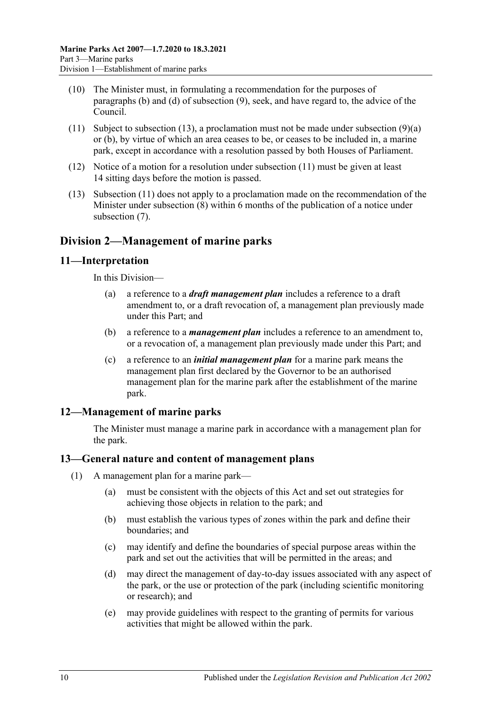- (10) The Minister must, in formulating a recommendation for the purposes of [paragraphs](#page-8-4) (b) and [\(d\)](#page-8-5) of [subsection](#page-8-6) (9), seek, and have regard to, the advice of the Council.
- <span id="page-9-5"></span>(11) Subject to [subsection](#page-8-7) (13), a proclamation must not be made under subsection  $(9)(a)$ or [\(b\),](#page-8-4) by virtue of which an area ceases to be, or ceases to be included in, a marine park, except in accordance with a resolution passed by both Houses of Parliament.
- (12) Notice of a motion for a resolution under [subsection](#page-9-5) (11) must be given at least 14 sitting days before the motion is passed.
- <span id="page-9-4"></span>(13) [Subsection](#page-9-5) (11) does not apply to a proclamation made on the recommendation of the Minister under [subsection](#page-8-3) (8) within 6 months of the publication of a notice under [subsection](#page-8-2) (7).

# <span id="page-9-0"></span>**Division 2—Management of marine parks**

## <span id="page-9-1"></span>**11—Interpretation**

In this Division—

- (a) a reference to a *draft management plan* includes a reference to a draft amendment to, or a draft revocation of, a management plan previously made under this Part; and
- (b) a reference to a *management plan* includes a reference to an amendment to, or a revocation of, a management plan previously made under this Part; and
- (c) a reference to an *initial management plan* for a marine park means the management plan first declared by the Governor to be an authorised management plan for the marine park after the establishment of the marine park.

## <span id="page-9-2"></span>**12—Management of marine parks**

The Minister must manage a marine park in accordance with a management plan for the park.

#### <span id="page-9-3"></span>**13—General nature and content of management plans**

- (1) A management plan for a marine park—
	- (a) must be consistent with the objects of this Act and set out strategies for achieving those objects in relation to the park; and
	- (b) must establish the various types of zones within the park and define their boundaries; and
	- (c) may identify and define the boundaries of special purpose areas within the park and set out the activities that will be permitted in the areas; and
	- (d) may direct the management of day-to-day issues associated with any aspect of the park, or the use or protection of the park (including scientific monitoring or research); and
	- (e) may provide guidelines with respect to the granting of permits for various activities that might be allowed within the park.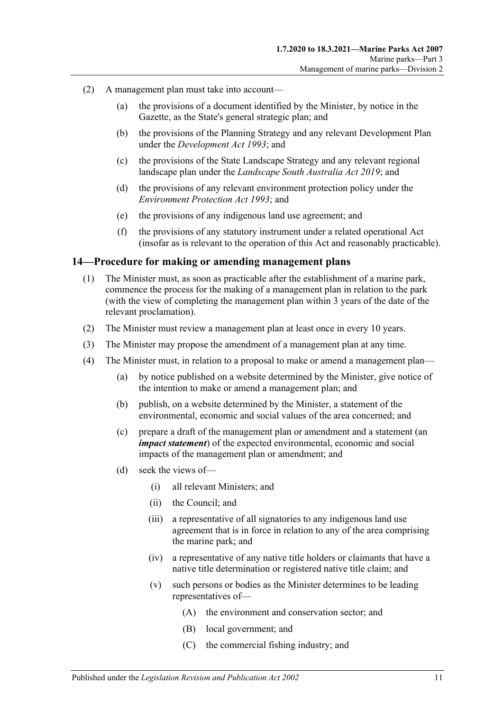- (2) A management plan must take into account—
	- (a) the provisions of a document identified by the Minister, by notice in the Gazette, as the State's general strategic plan; and
	- (b) the provisions of the Planning Strategy and any relevant Development Plan under the *[Development Act](http://www.legislation.sa.gov.au/index.aspx?action=legref&type=act&legtitle=Development%20Act%201993) 1993*; and
	- (c) the provisions of the State Landscape Strategy and any relevant regional landscape plan under the *[Landscape South Australia Act](http://www.legislation.sa.gov.au/index.aspx?action=legref&type=act&legtitle=Landscape%20South%20Australia%20Act%202019) 2019*; and
	- (d) the provisions of any relevant environment protection policy under the *[Environment Protection Act](http://www.legislation.sa.gov.au/index.aspx?action=legref&type=act&legtitle=Environment%20Protection%20Act%201993) 1993*; and
	- (e) the provisions of any indigenous land use agreement; and
	- (f) the provisions of any statutory instrument under a related operational Act (insofar as is relevant to the operation of this Act and reasonably practicable).

#### <span id="page-10-0"></span>**14—Procedure for making or amending management plans**

- (1) The Minister must, as soon as practicable after the establishment of a marine park, commence the process for the making of a management plan in relation to the park (with the view of completing the management plan within 3 years of the date of the relevant proclamation).
- (2) The Minister must review a management plan at least once in every 10 years.
- (3) The Minister may propose the amendment of a management plan at any time.
- (4) The Minister must, in relation to a proposal to make or amend a management plan—
	- (a) by notice published on a website determined by the Minister, give notice of the intention to make or amend a management plan; and
	- (b) publish, on a website determined by the Minister, a statement of the environmental, economic and social values of the area concerned; and
	- (c) prepare a draft of the management plan or amendment and a statement (an *impact statement*) of the expected environmental, economic and social impacts of the management plan or amendment; and
	- (d) seek the views of—
		- (i) all relevant Ministers; and
		- (ii) the Council; and
		- (iii) a representative of all signatories to any indigenous land use agreement that is in force in relation to any of the area comprising the marine park; and
		- (iv) a representative of any native title holders or claimants that have a native title determination or registered native title claim; and
		- (v) such persons or bodies as the Minister determines to be leading representatives of—
			- (A) the environment and conservation sector; and
			- (B) local government; and
			- (C) the commercial fishing industry; and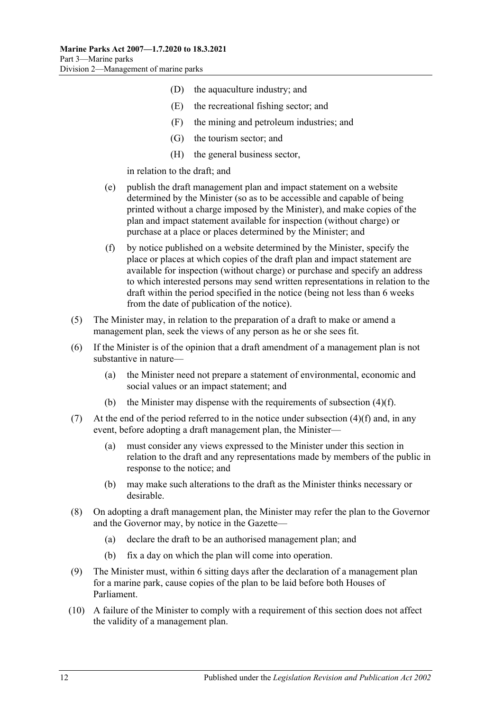- (D) the aquaculture industry; and
- (E) the recreational fishing sector; and
- (F) the mining and petroleum industries; and
- (G) the tourism sector; and
- (H) the general business sector,

in relation to the draft; and

- (e) publish the draft management plan and impact statement on a website determined by the Minister (so as to be accessible and capable of being printed without a charge imposed by the Minister), and make copies of the plan and impact statement available for inspection (without charge) or purchase at a place or places determined by the Minister; and
- <span id="page-11-0"></span>(f) by notice published on a website determined by the Minister, specify the place or places at which copies of the draft plan and impact statement are available for inspection (without charge) or purchase and specify an address to which interested persons may send written representations in relation to the draft within the period specified in the notice (being not less than 6 weeks from the date of publication of the notice).
- (5) The Minister may, in relation to the preparation of a draft to make or amend a management plan, seek the views of any person as he or she sees fit.
- (6) If the Minister is of the opinion that a draft amendment of a management plan is not substantive in nature—
	- (a) the Minister need not prepare a statement of environmental, economic and social values or an impact statement; and
	- (b) the Minister may dispense with the requirements of [subsection](#page-11-0) (4)(f).
- (7) At the end of the period referred to in the notice under [subsection](#page-11-0)  $(4)(f)$  and, in any event, before adopting a draft management plan, the Minister—
	- (a) must consider any views expressed to the Minister under this section in relation to the draft and any representations made by members of the public in response to the notice; and
	- (b) may make such alterations to the draft as the Minister thinks necessary or desirable.
- (8) On adopting a draft management plan, the Minister may refer the plan to the Governor and the Governor may, by notice in the Gazette—
	- (a) declare the draft to be an authorised management plan; and
	- (b) fix a day on which the plan will come into operation.
- (9) The Minister must, within 6 sitting days after the declaration of a management plan for a marine park, cause copies of the plan to be laid before both Houses of Parliament.
- (10) A failure of the Minister to comply with a requirement of this section does not affect the validity of a management plan.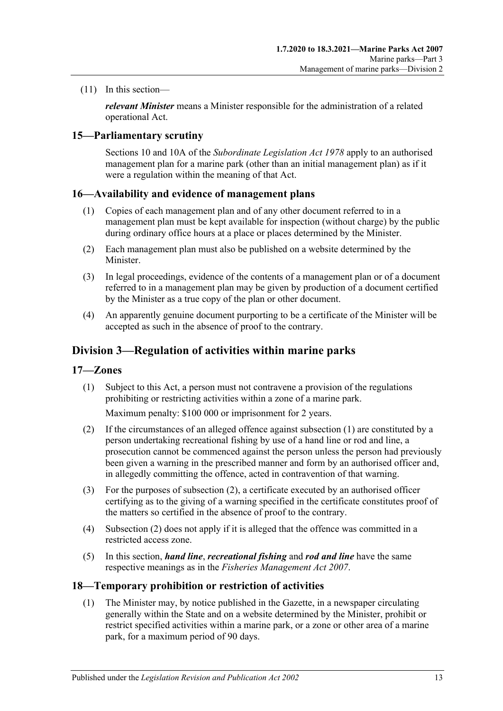(11) In this section—

*relevant Minister* means a Minister responsible for the administration of a related operational Act.

## <span id="page-12-0"></span>**15—Parliamentary scrutiny**

Sections 10 and 10A of the *[Subordinate Legislation Act](http://www.legislation.sa.gov.au/index.aspx?action=legref&type=act&legtitle=Subordinate%20Legislation%20Act%201978) 1978* apply to an authorised management plan for a marine park (other than an initial management plan) as if it were a regulation within the meaning of that Act.

## <span id="page-12-1"></span>**16—Availability and evidence of management plans**

- (1) Copies of each management plan and of any other document referred to in a management plan must be kept available for inspection (without charge) by the public during ordinary office hours at a place or places determined by the Minister.
- (2) Each management plan must also be published on a website determined by the Minister.
- (3) In legal proceedings, evidence of the contents of a management plan or of a document referred to in a management plan may be given by production of a document certified by the Minister as a true copy of the plan or other document.
- (4) An apparently genuine document purporting to be a certificate of the Minister will be accepted as such in the absence of proof to the contrary.

# <span id="page-12-2"></span>**Division 3—Regulation of activities within marine parks**

#### <span id="page-12-5"></span><span id="page-12-3"></span>**17—Zones**

(1) Subject to this Act, a person must not contravene a provision of the regulations prohibiting or restricting activities within a zone of a marine park.

Maximum penalty: \$100 000 or imprisonment for 2 years.

- <span id="page-12-6"></span>(2) If the circumstances of an alleged offence against [subsection](#page-12-5) (1) are constituted by a person undertaking recreational fishing by use of a hand line or rod and line, a prosecution cannot be commenced against the person unless the person had previously been given a warning in the prescribed manner and form by an authorised officer and, in allegedly committing the offence, acted in contravention of that warning.
- (3) For the purposes of [subsection](#page-12-6) (2), a certificate executed by an authorised officer certifying as to the giving of a warning specified in the certificate constitutes proof of the matters so certified in the absence of proof to the contrary.
- (4) [Subsection](#page-12-6) (2) does not apply if it is alleged that the offence was committed in a restricted access zone.
- (5) In this section, *hand line*, *recreational fishing* and *rod and line* have the same respective meanings as in the *[Fisheries Management Act](http://www.legislation.sa.gov.au/index.aspx?action=legref&type=act&legtitle=Fisheries%20Management%20Act%202007) 2007*.

#### <span id="page-12-7"></span><span id="page-12-4"></span>**18—Temporary prohibition or restriction of activities**

(1) The Minister may, by notice published in the Gazette, in a newspaper circulating generally within the State and on a website determined by the Minister, prohibit or restrict specified activities within a marine park, or a zone or other area of a marine park, for a maximum period of 90 days.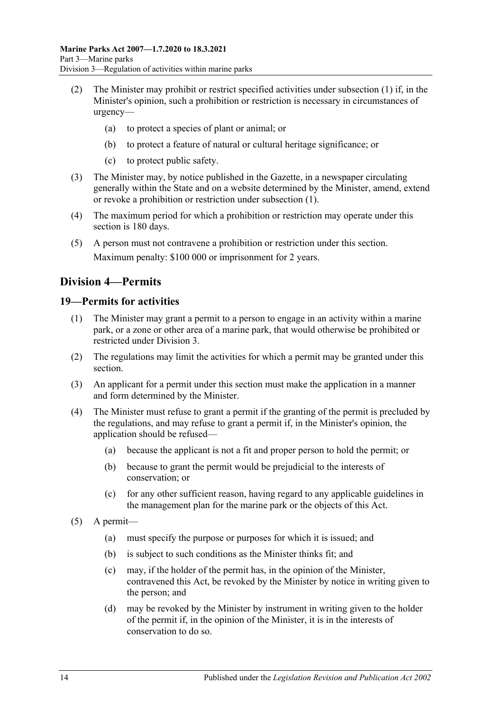- (2) The Minister may prohibit or restrict specified activities under [subsection](#page-12-7) (1) if, in the Minister's opinion, such a prohibition or restriction is necessary in circumstances of urgency—
	- (a) to protect a species of plant or animal; or
	- (b) to protect a feature of natural or cultural heritage significance; or
	- (c) to protect public safety.
- (3) The Minister may, by notice published in the Gazette, in a newspaper circulating generally within the State and on a website determined by the Minister, amend, extend or revoke a prohibition or restriction under [subsection](#page-12-7) (1).
- (4) The maximum period for which a prohibition or restriction may operate under this section is 180 days.
- (5) A person must not contravene a prohibition or restriction under this section. Maximum penalty: \$100 000 or imprisonment for 2 years.

# <span id="page-13-0"></span>**Division 4—Permits**

## <span id="page-13-1"></span>**19—Permits for activities**

- (1) The Minister may grant a permit to a person to engage in an activity within a marine park, or a zone or other area of a marine park, that would otherwise be prohibited or restricted under [Division 3.](#page-12-2)
- (2) The regulations may limit the activities for which a permit may be granted under this section.
- (3) An applicant for a permit under this section must make the application in a manner and form determined by the Minister.
- (4) The Minister must refuse to grant a permit if the granting of the permit is precluded by the regulations, and may refuse to grant a permit if, in the Minister's opinion, the application should be refused—
	- (a) because the applicant is not a fit and proper person to hold the permit; or
	- (b) because to grant the permit would be prejudicial to the interests of conservation; or
	- (c) for any other sufficient reason, having regard to any applicable guidelines in the management plan for the marine park or the objects of this Act.
- (5) A permit—
	- (a) must specify the purpose or purposes for which it is issued; and
	- (b) is subject to such conditions as the Minister thinks fit; and
	- (c) may, if the holder of the permit has, in the opinion of the Minister, contravened this Act, be revoked by the Minister by notice in writing given to the person; and
	- (d) may be revoked by the Minister by instrument in writing given to the holder of the permit if, in the opinion of the Minister, it is in the interests of conservation to do so.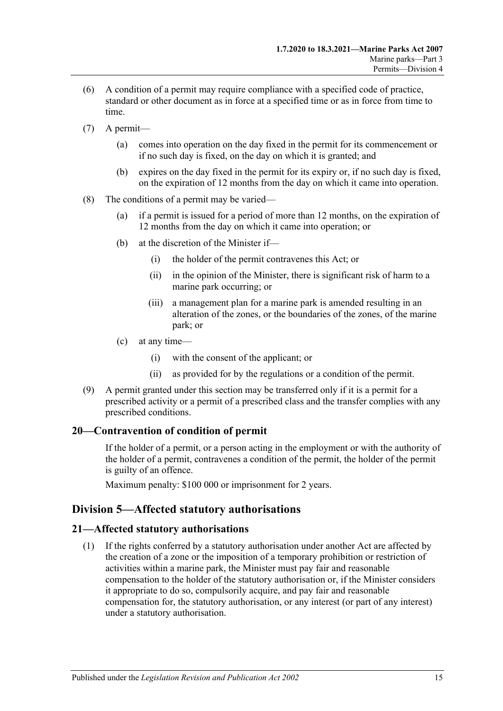- (6) A condition of a permit may require compliance with a specified code of practice, standard or other document as in force at a specified time or as in force from time to time.
- (7) A permit—
	- (a) comes into operation on the day fixed in the permit for its commencement or if no such day is fixed, on the day on which it is granted; and
	- (b) expires on the day fixed in the permit for its expiry or, if no such day is fixed, on the expiration of 12 months from the day on which it came into operation.
- (8) The conditions of a permit may be varied—
	- (a) if a permit is issued for a period of more than 12 months, on the expiration of 12 months from the day on which it came into operation; or
	- (b) at the discretion of the Minister if—
		- (i) the holder of the permit contravenes this Act; or
		- (ii) in the opinion of the Minister, there is significant risk of harm to a marine park occurring; or
		- (iii) a management plan for a marine park is amended resulting in an alteration of the zones, or the boundaries of the zones, of the marine park; or
	- (c) at any time—
		- (i) with the consent of the applicant; or
		- (ii) as provided for by the regulations or a condition of the permit.
- (9) A permit granted under this section may be transferred only if it is a permit for a prescribed activity or a permit of a prescribed class and the transfer complies with any prescribed conditions.

#### <span id="page-14-0"></span>**20—Contravention of condition of permit**

If the holder of a permit, or a person acting in the employment or with the authority of the holder of a permit, contravenes a condition of the permit, the holder of the permit is guilty of an offence.

Maximum penalty: \$100 000 or imprisonment for 2 years.

## <span id="page-14-1"></span>**Division 5—Affected statutory authorisations**

#### <span id="page-14-2"></span>**21—Affected statutory authorisations**

(1) If the rights conferred by a statutory authorisation under another Act are affected by the creation of a zone or the imposition of a temporary prohibition or restriction of activities within a marine park, the Minister must pay fair and reasonable compensation to the holder of the statutory authorisation or, if the Minister considers it appropriate to do so, compulsorily acquire, and pay fair and reasonable compensation for, the statutory authorisation, or any interest (or part of any interest) under a statutory authorisation.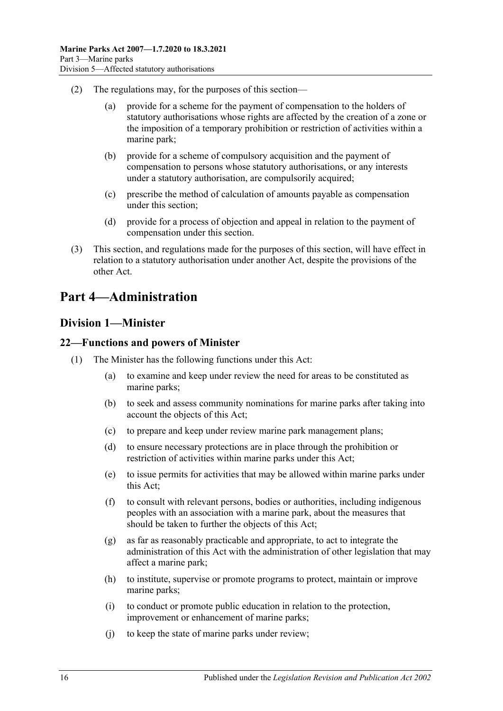- (2) The regulations may, for the purposes of this section—
	- (a) provide for a scheme for the payment of compensation to the holders of statutory authorisations whose rights are affected by the creation of a zone or the imposition of a temporary prohibition or restriction of activities within a marine park;
	- (b) provide for a scheme of compulsory acquisition and the payment of compensation to persons whose statutory authorisations, or any interests under a statutory authorisation, are compulsorily acquired;
	- (c) prescribe the method of calculation of amounts payable as compensation under this section;
	- (d) provide for a process of objection and appeal in relation to the payment of compensation under this section.
- (3) This section, and regulations made for the purposes of this section, will have effect in relation to a statutory authorisation under another Act, despite the provisions of the other Act.

# <span id="page-15-1"></span><span id="page-15-0"></span>**Part 4—Administration**

## **Division 1—Minister**

#### <span id="page-15-2"></span>**22—Functions and powers of Minister**

- (1) The Minister has the following functions under this Act:
	- (a) to examine and keep under review the need for areas to be constituted as marine parks;
	- (b) to seek and assess community nominations for marine parks after taking into account the objects of this Act;
	- (c) to prepare and keep under review marine park management plans;
	- (d) to ensure necessary protections are in place through the prohibition or restriction of activities within marine parks under this Act;
	- (e) to issue permits for activities that may be allowed within marine parks under this Act;
	- (f) to consult with relevant persons, bodies or authorities, including indigenous peoples with an association with a marine park, about the measures that should be taken to further the objects of this Act;
	- (g) as far as reasonably practicable and appropriate, to act to integrate the administration of this Act with the administration of other legislation that may affect a marine park;
	- (h) to institute, supervise or promote programs to protect, maintain or improve marine parks;
	- (i) to conduct or promote public education in relation to the protection, improvement or enhancement of marine parks;
	- (j) to keep the state of marine parks under review;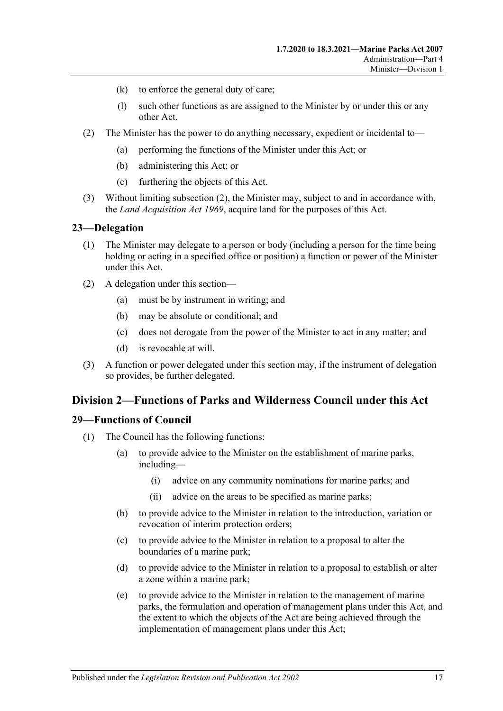- (k) to enforce the general duty of care;
- (l) such other functions as are assigned to the Minister by or under this or any other Act.
- <span id="page-16-3"></span>(2) The Minister has the power to do anything necessary, expedient or incidental to—
	- (a) performing the functions of the Minister under this Act; or
	- (b) administering this Act; or
	- (c) furthering the objects of this Act.
- (3) Without limiting [subsection](#page-16-3) (2), the Minister may, subject to and in accordance with, the *[Land Acquisition Act](http://www.legislation.sa.gov.au/index.aspx?action=legref&type=act&legtitle=Land%20Acquisition%20Act%201969) 1969*, acquire land for the purposes of this Act.

#### <span id="page-16-0"></span>**23—Delegation**

- (1) The Minister may delegate to a person or body (including a person for the time being holding or acting in a specified office or position) a function or power of the Minister under this Act.
- (2) A delegation under this section—
	- (a) must be by instrument in writing; and
	- (b) may be absolute or conditional; and
	- (c) does not derogate from the power of the Minister to act in any matter; and
	- (d) is revocable at will.
- (3) A function or power delegated under this section may, if the instrument of delegation so provides, be further delegated.

#### <span id="page-16-1"></span>**Division 2—Functions of Parks and Wilderness Council under this Act**

#### <span id="page-16-2"></span>**29—Functions of Council**

- (1) The Council has the following functions:
	- (a) to provide advice to the Minister on the establishment of marine parks, including—
		- (i) advice on any community nominations for marine parks; and
		- (ii) advice on the areas to be specified as marine parks;
	- (b) to provide advice to the Minister in relation to the introduction, variation or revocation of interim protection orders;
	- (c) to provide advice to the Minister in relation to a proposal to alter the boundaries of a marine park;
	- (d) to provide advice to the Minister in relation to a proposal to establish or alter a zone within a marine park;
	- (e) to provide advice to the Minister in relation to the management of marine parks, the formulation and operation of management plans under this Act, and the extent to which the objects of the Act are being achieved through the implementation of management plans under this Act;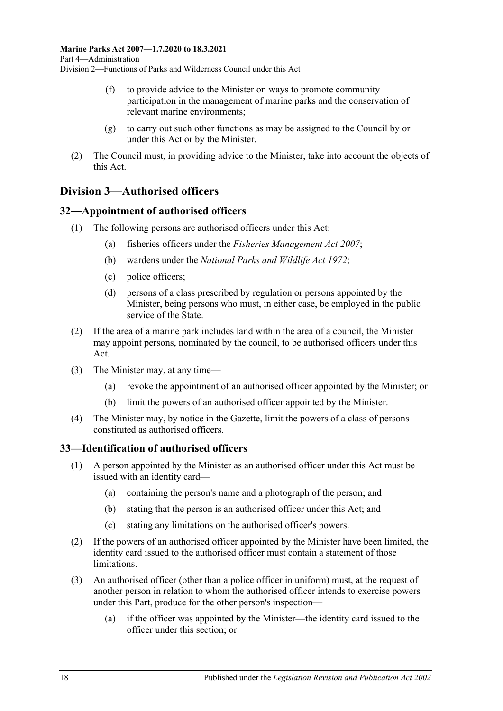- (f) to provide advice to the Minister on ways to promote community participation in the management of marine parks and the conservation of relevant marine environments;
- (g) to carry out such other functions as may be assigned to the Council by or under this Act or by the Minister.
- (2) The Council must, in providing advice to the Minister, take into account the objects of this Act.

# <span id="page-17-0"></span>**Division 3—Authorised officers**

## <span id="page-17-1"></span>**32—Appointment of authorised officers**

- (1) The following persons are authorised officers under this Act:
	- (a) fisheries officers under the *[Fisheries Management Act](http://www.legislation.sa.gov.au/index.aspx?action=legref&type=act&legtitle=Fisheries%20Management%20Act%202007) 2007*;
	- (b) wardens under the *[National Parks and Wildlife Act](http://www.legislation.sa.gov.au/index.aspx?action=legref&type=act&legtitle=National%20Parks%20and%20Wildlife%20Act%201972) 1972*;
	- (c) police officers;
	- (d) persons of a class prescribed by regulation or persons appointed by the Minister, being persons who must, in either case, be employed in the public service of the State.
- (2) If the area of a marine park includes land within the area of a council, the Minister may appoint persons, nominated by the council, to be authorised officers under this Act.
- (3) The Minister may, at any time—
	- (a) revoke the appointment of an authorised officer appointed by the Minister; or
	- (b) limit the powers of an authorised officer appointed by the Minister.
- (4) The Minister may, by notice in the Gazette, limit the powers of a class of persons constituted as authorised officers.

#### <span id="page-17-2"></span>**33—Identification of authorised officers**

- (1) A person appointed by the Minister as an authorised officer under this Act must be issued with an identity card—
	- (a) containing the person's name and a photograph of the person; and
	- (b) stating that the person is an authorised officer under this Act; and
	- (c) stating any limitations on the authorised officer's powers.
- (2) If the powers of an authorised officer appointed by the Minister have been limited, the identity card issued to the authorised officer must contain a statement of those limitations.
- (3) An authorised officer (other than a police officer in uniform) must, at the request of another person in relation to whom the authorised officer intends to exercise powers under this Part, produce for the other person's inspection—
	- (a) if the officer was appointed by the Minister—the identity card issued to the officer under this section; or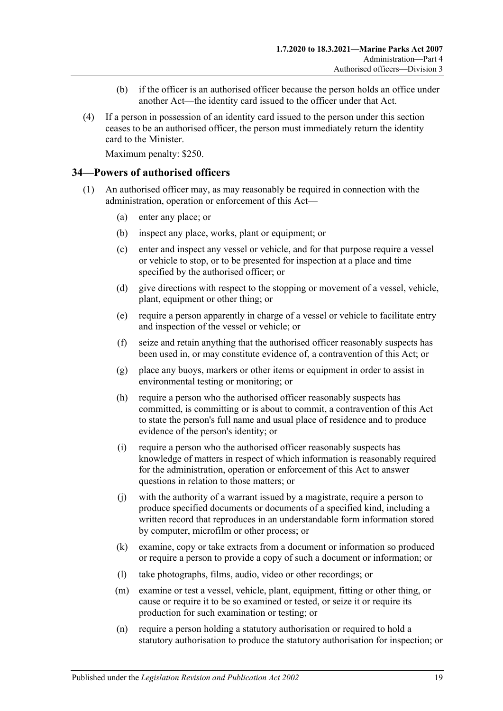- (b) if the officer is an authorised officer because the person holds an office under another Act—the identity card issued to the officer under that Act.
- (4) If a person in possession of an identity card issued to the person under this section ceases to be an authorised officer, the person must immediately return the identity card to the Minister.

Maximum penalty: \$250.

#### <span id="page-18-0"></span>**34—Powers of authorised officers**

- <span id="page-18-2"></span><span id="page-18-1"></span>(1) An authorised officer may, as may reasonably be required in connection with the administration, operation or enforcement of this Act—
	- (a) enter any place; or
	- (b) inspect any place, works, plant or equipment; or
	- (c) enter and inspect any vessel or vehicle, and for that purpose require a vessel or vehicle to stop, or to be presented for inspection at a place and time specified by the authorised officer; or
	- (d) give directions with respect to the stopping or movement of a vessel, vehicle, plant, equipment or other thing; or
	- (e) require a person apparently in charge of a vessel or vehicle to facilitate entry and inspection of the vessel or vehicle; or
	- (f) seize and retain anything that the authorised officer reasonably suspects has been used in, or may constitute evidence of, a contravention of this Act; or
	- (g) place any buoys, markers or other items or equipment in order to assist in environmental testing or monitoring; or
	- (h) require a person who the authorised officer reasonably suspects has committed, is committing or is about to commit, a contravention of this Act to state the person's full name and usual place of residence and to produce evidence of the person's identity; or
	- (i) require a person who the authorised officer reasonably suspects has knowledge of matters in respect of which information is reasonably required for the administration, operation or enforcement of this Act to answer questions in relation to those matters; or
	- (j) with the authority of a warrant issued by a magistrate, require a person to produce specified documents or documents of a specified kind, including a written record that reproduces in an understandable form information stored by computer, microfilm or other process; or
	- (k) examine, copy or take extracts from a document or information so produced or require a person to provide a copy of such a document or information; or
	- (l) take photographs, films, audio, video or other recordings; or
	- (m) examine or test a vessel, vehicle, plant, equipment, fitting or other thing, or cause or require it to be so examined or tested, or seize it or require its production for such examination or testing; or
	- (n) require a person holding a statutory authorisation or required to hold a statutory authorisation to produce the statutory authorisation for inspection; or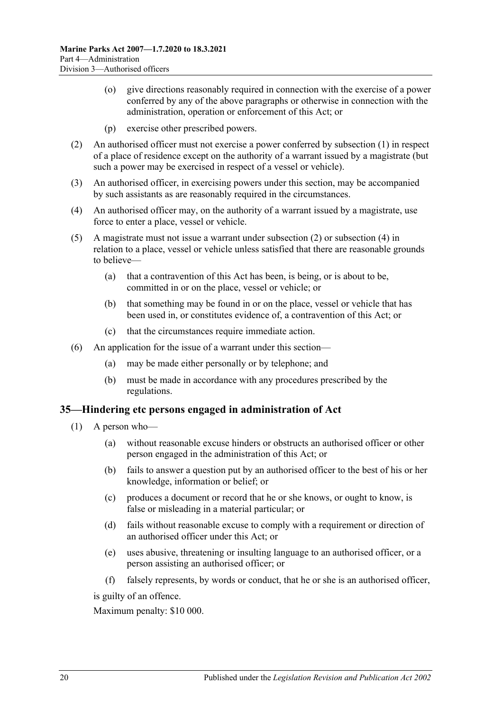- (o) give directions reasonably required in connection with the exercise of a power conferred by any of the above paragraphs or otherwise in connection with the administration, operation or enforcement of this Act; or
- (p) exercise other prescribed powers.
- <span id="page-19-1"></span>(2) An authorised officer must not exercise a power conferred by [subsection](#page-18-1) (1) in respect of a place of residence except on the authority of a warrant issued by a magistrate (but such a power may be exercised in respect of a vessel or vehicle).
- (3) An authorised officer, in exercising powers under this section, may be accompanied by such assistants as are reasonably required in the circumstances.
- <span id="page-19-2"></span>(4) An authorised officer may, on the authority of a warrant issued by a magistrate, use force to enter a place, vessel or vehicle.
- (5) A magistrate must not issue a warrant under [subsection](#page-19-1) (2) or [subsection](#page-19-2) (4) in relation to a place, vessel or vehicle unless satisfied that there are reasonable grounds to believe—
	- (a) that a contravention of this Act has been, is being, or is about to be, committed in or on the place, vessel or vehicle; or
	- (b) that something may be found in or on the place, vessel or vehicle that has been used in, or constitutes evidence of, a contravention of this Act; or
	- (c) that the circumstances require immediate action.
- (6) An application for the issue of a warrant under this section—
	- (a) may be made either personally or by telephone; and
	- (b) must be made in accordance with any procedures prescribed by the regulations.

#### <span id="page-19-0"></span>**35—Hindering etc persons engaged in administration of Act**

- (1) A person who—
	- (a) without reasonable excuse hinders or obstructs an authorised officer or other person engaged in the administration of this Act; or
	- (b) fails to answer a question put by an authorised officer to the best of his or her knowledge, information or belief; or
	- (c) produces a document or record that he or she knows, or ought to know, is false or misleading in a material particular; or
	- (d) fails without reasonable excuse to comply with a requirement or direction of an authorised officer under this Act; or
	- (e) uses abusive, threatening or insulting language to an authorised officer, or a person assisting an authorised officer; or
	- (f) falsely represents, by words or conduct, that he or she is an authorised officer,

is guilty of an offence.

Maximum penalty: \$10 000.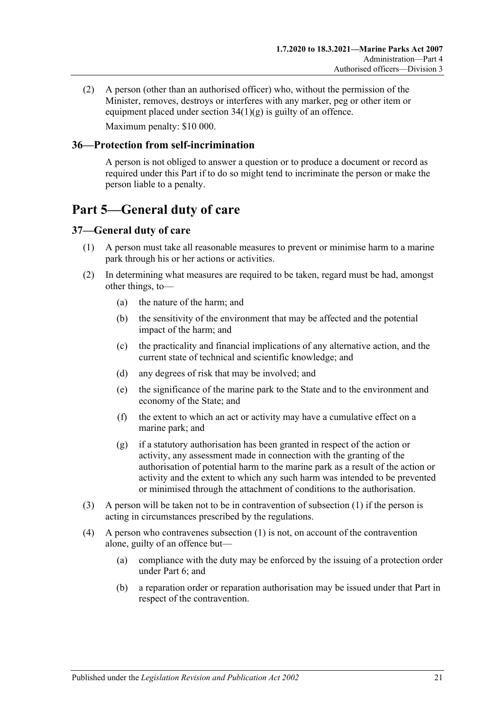(2) A person (other than an authorised officer) who, without the permission of the Minister, removes, destroys or interferes with any marker, peg or other item or equipment placed under section  $34(1)(g)$  is guilty of an offence. Maximum penalty: \$10 000.

#### <span id="page-20-0"></span>**36—Protection from self-incrimination**

A person is not obliged to answer a question or to produce a document or record as required under this Part if to do so might tend to incriminate the person or make the person liable to a penalty.

# <span id="page-20-1"></span>**Part 5—General duty of care**

## <span id="page-20-3"></span><span id="page-20-2"></span>**37—General duty of care**

- (1) A person must take all reasonable measures to prevent or minimise harm to a marine park through his or her actions or activities.
- (2) In determining what measures are required to be taken, regard must be had, amongst other things, to—
	- (a) the nature of the harm; and
	- (b) the sensitivity of the environment that may be affected and the potential impact of the harm; and
	- (c) the practicality and financial implications of any alternative action, and the current state of technical and scientific knowledge; and
	- (d) any degrees of risk that may be involved; and
	- (e) the significance of the marine park to the State and to the environment and economy of the State; and
	- (f) the extent to which an act or activity may have a cumulative effect on a marine park; and
	- (g) if a statutory authorisation has been granted in respect of the action or activity, any assessment made in connection with the granting of the authorisation of potential harm to the marine park as a result of the action or activity and the extent to which any such harm was intended to be prevented or minimised through the attachment of conditions to the authorisation.
- (3) A person will be taken not to be in contravention of [subsection](#page-20-3) (1) if the person is acting in circumstances prescribed by the regulations.
- (4) A person who contravenes [subsection](#page-20-3) (1) is not, on account of the contravention alone, guilty of an offence but—
	- (a) compliance with the duty may be enforced by the issuing of a protection order under [Part 6;](#page-21-0) and
	- (b) a reparation order or reparation authorisation may be issued under that Part in respect of the contravention.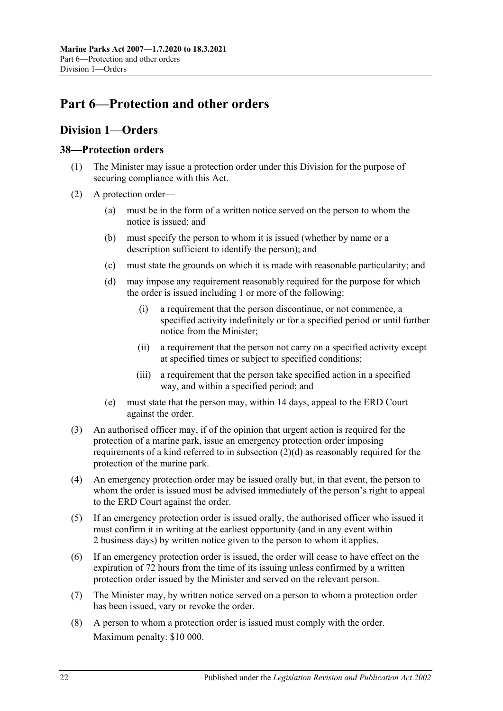# <span id="page-21-0"></span>**Part 6—Protection and other orders**

# <span id="page-21-1"></span>**Division 1—Orders**

#### <span id="page-21-2"></span>**38—Protection orders**

- (1) The Minister may issue a protection order under this Division for the purpose of securing compliance with this Act.
- <span id="page-21-3"></span>(2) A protection order—
	- (a) must be in the form of a written notice served on the person to whom the notice is issued; and
	- (b) must specify the person to whom it is issued (whether by name or a description sufficient to identify the person); and
	- (c) must state the grounds on which it is made with reasonable particularity; and
	- (d) may impose any requirement reasonably required for the purpose for which the order is issued including 1 or more of the following:
		- (i) a requirement that the person discontinue, or not commence, a specified activity indefinitely or for a specified period or until further notice from the Minister;
		- (ii) a requirement that the person not carry on a specified activity except at specified times or subject to specified conditions;
		- (iii) a requirement that the person take specified action in a specified way, and within a specified period; and
	- (e) must state that the person may, within 14 days, appeal to the ERD Court against the order.
- (3) An authorised officer may, if of the opinion that urgent action is required for the protection of a marine park, issue an emergency protection order imposing requirements of a kind referred to in [subsection](#page-21-3) (2)(d) as reasonably required for the protection of the marine park.
- (4) An emergency protection order may be issued orally but, in that event, the person to whom the order is issued must be advised immediately of the person's right to appeal to the ERD Court against the order.
- (5) If an emergency protection order is issued orally, the authorised officer who issued it must confirm it in writing at the earliest opportunity (and in any event within 2 business days) by written notice given to the person to whom it applies.
- (6) If an emergency protection order is issued, the order will cease to have effect on the expiration of 72 hours from the time of its issuing unless confirmed by a written protection order issued by the Minister and served on the relevant person.
- (7) The Minister may, by written notice served on a person to whom a protection order has been issued, vary or revoke the order.
- (8) A person to whom a protection order is issued must comply with the order. Maximum penalty: \$10 000.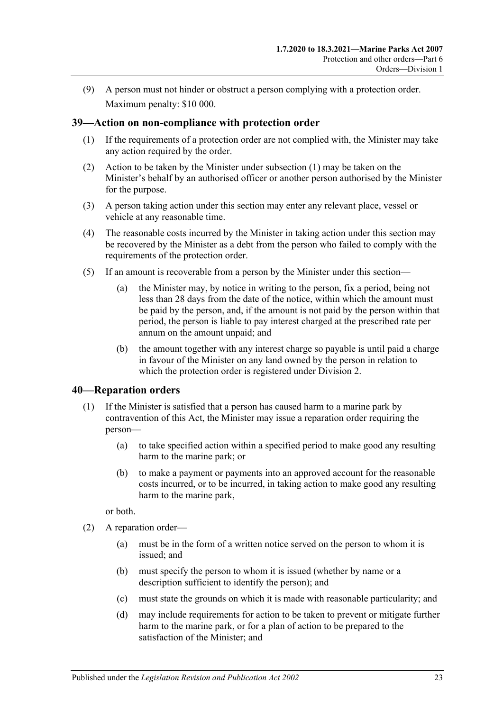(9) A person must not hinder or obstruct a person complying with a protection order. Maximum penalty: \$10 000.

## <span id="page-22-2"></span><span id="page-22-0"></span>**39—Action on non-compliance with protection order**

- (1) If the requirements of a protection order are not complied with, the Minister may take any action required by the order.
- (2) Action to be taken by the Minister under [subsection](#page-22-2) (1) may be taken on the Minister's behalf by an authorised officer or another person authorised by the Minister for the purpose.
- (3) A person taking action under this section may enter any relevant place, vessel or vehicle at any reasonable time.
- (4) The reasonable costs incurred by the Minister in taking action under this section may be recovered by the Minister as a debt from the person who failed to comply with the requirements of the protection order.
- (5) If an amount is recoverable from a person by the Minister under this section—
	- (a) the Minister may, by notice in writing to the person, fix a period, being not less than 28 days from the date of the notice, within which the amount must be paid by the person, and, if the amount is not paid by the person within that period, the person is liable to pay interest charged at the prescribed rate per annum on the amount unpaid; and
	- (b) the amount together with any interest charge so payable is until paid a charge in favour of the Minister on any land owned by the person in relation to which the protection order is registered under [Division 2.](#page-25-1)

#### <span id="page-22-1"></span>**40—Reparation orders**

- (1) If the Minister is satisfied that a person has caused harm to a marine park by contravention of this Act, the Minister may issue a reparation order requiring the person—
	- (a) to take specified action within a specified period to make good any resulting harm to the marine park; or
	- (b) to make a payment or payments into an approved account for the reasonable costs incurred, or to be incurred, in taking action to make good any resulting harm to the marine park,

or both.

- <span id="page-22-3"></span>(2) A reparation order—
	- (a) must be in the form of a written notice served on the person to whom it is issued; and
	- (b) must specify the person to whom it is issued (whether by name or a description sufficient to identify the person); and
	- (c) must state the grounds on which it is made with reasonable particularity; and
	- (d) may include requirements for action to be taken to prevent or mitigate further harm to the marine park, or for a plan of action to be prepared to the satisfaction of the Minister; and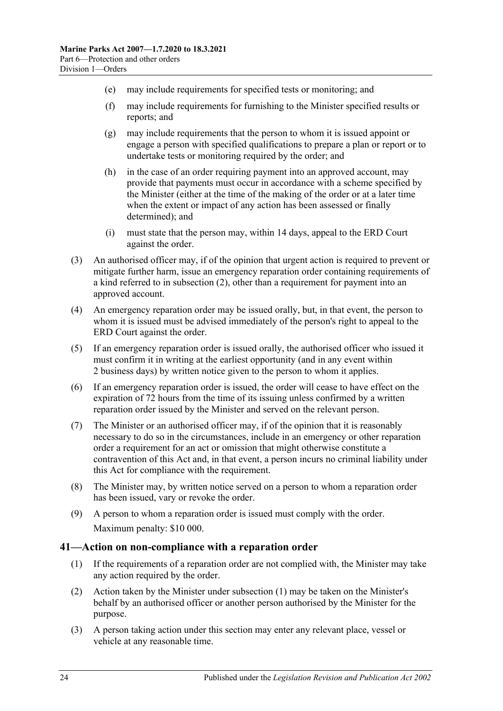- (e) may include requirements for specified tests or monitoring; and
- (f) may include requirements for furnishing to the Minister specified results or reports; and
- (g) may include requirements that the person to whom it is issued appoint or engage a person with specified qualifications to prepare a plan or report or to undertake tests or monitoring required by the order; and
- (h) in the case of an order requiring payment into an approved account, may provide that payments must occur in accordance with a scheme specified by the Minister (either at the time of the making of the order or at a later time when the extent or impact of any action has been assessed or finally determined); and
- (i) must state that the person may, within 14 days, appeal to the ERD Court against the order.
- (3) An authorised officer may, if of the opinion that urgent action is required to prevent or mitigate further harm, issue an emergency reparation order containing requirements of a kind referred to in [subsection](#page-22-3) (2), other than a requirement for payment into an approved account.
- (4) An emergency reparation order may be issued orally, but, in that event, the person to whom it is issued must be advised immediately of the person's right to appeal to the ERD Court against the order.
- (5) If an emergency reparation order is issued orally, the authorised officer who issued it must confirm it in writing at the earliest opportunity (and in any event within 2 business days) by written notice given to the person to whom it applies.
- (6) If an emergency reparation order is issued, the order will cease to have effect on the expiration of 72 hours from the time of its issuing unless confirmed by a written reparation order issued by the Minister and served on the relevant person.
- (7) The Minister or an authorised officer may, if of the opinion that it is reasonably necessary to do so in the circumstances, include in an emergency or other reparation order a requirement for an act or omission that might otherwise constitute a contravention of this Act and, in that event, a person incurs no criminal liability under this Act for compliance with the requirement.
- (8) The Minister may, by written notice served on a person to whom a reparation order has been issued, vary or revoke the order.
- (9) A person to whom a reparation order is issued must comply with the order. Maximum penalty: \$10 000.

#### <span id="page-23-1"></span><span id="page-23-0"></span>**41—Action on non-compliance with a reparation order**

- (1) If the requirements of a reparation order are not complied with, the Minister may take any action required by the order.
- (2) Action taken by the Minister under [subsection](#page-23-1) (1) may be taken on the Minister's behalf by an authorised officer or another person authorised by the Minister for the purpose.
- (3) A person taking action under this section may enter any relevant place, vessel or vehicle at any reasonable time.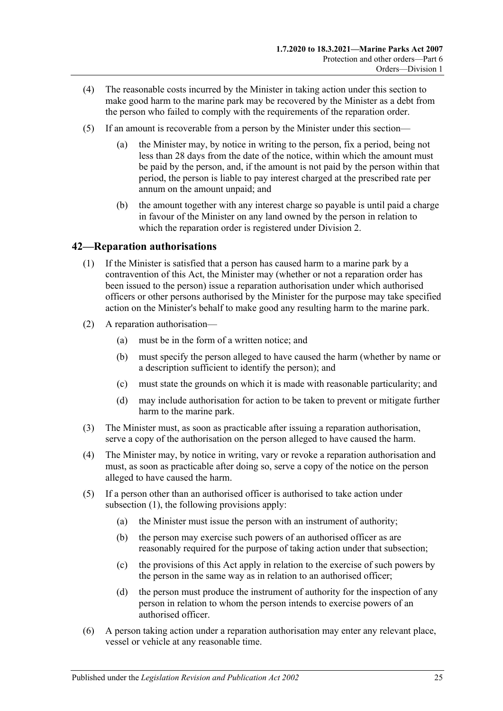- (4) The reasonable costs incurred by the Minister in taking action under this section to make good harm to the marine park may be recovered by the Minister as a debt from the person who failed to comply with the requirements of the reparation order.
- (5) If an amount is recoverable from a person by the Minister under this section—
	- (a) the Minister may, by notice in writing to the person, fix a period, being not less than 28 days from the date of the notice, within which the amount must be paid by the person, and, if the amount is not paid by the person within that period, the person is liable to pay interest charged at the prescribed rate per annum on the amount unpaid; and
	- (b) the amount together with any interest charge so payable is until paid a charge in favour of the Minister on any land owned by the person in relation to which the reparation order is registered under [Division 2.](#page-25-1)

## <span id="page-24-1"></span><span id="page-24-0"></span>**42—Reparation authorisations**

- (1) If the Minister is satisfied that a person has caused harm to a marine park by a contravention of this Act, the Minister may (whether or not a reparation order has been issued to the person) issue a reparation authorisation under which authorised officers or other persons authorised by the Minister for the purpose may take specified action on the Minister's behalf to make good any resulting harm to the marine park.
- (2) A reparation authorisation—
	- (a) must be in the form of a written notice; and
	- (b) must specify the person alleged to have caused the harm (whether by name or a description sufficient to identify the person); and
	- (c) must state the grounds on which it is made with reasonable particularity; and
	- (d) may include authorisation for action to be taken to prevent or mitigate further harm to the marine park.
- (3) The Minister must, as soon as practicable after issuing a reparation authorisation, serve a copy of the authorisation on the person alleged to have caused the harm.
- (4) The Minister may, by notice in writing, vary or revoke a reparation authorisation and must, as soon as practicable after doing so, serve a copy of the notice on the person alleged to have caused the harm.
- (5) If a person other than an authorised officer is authorised to take action under [subsection](#page-24-1) (1), the following provisions apply:
	- (a) the Minister must issue the person with an instrument of authority;
	- (b) the person may exercise such powers of an authorised officer as are reasonably required for the purpose of taking action under that subsection;
	- (c) the provisions of this Act apply in relation to the exercise of such powers by the person in the same way as in relation to an authorised officer;
	- (d) the person must produce the instrument of authority for the inspection of any person in relation to whom the person intends to exercise powers of an authorised officer.
- (6) A person taking action under a reparation authorisation may enter any relevant place, vessel or vehicle at any reasonable time.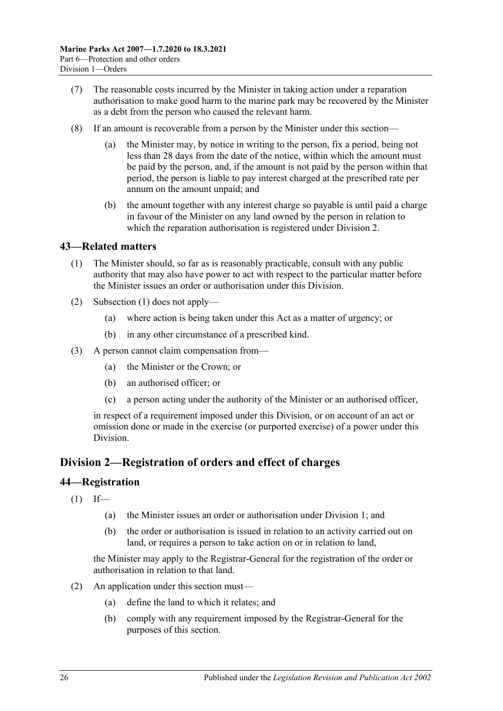- (7) The reasonable costs incurred by the Minister in taking action under a reparation authorisation to make good harm to the marine park may be recovered by the Minister as a debt from the person who caused the relevant harm.
- (8) If an amount is recoverable from a person by the Minister under this section
	- the Minister may, by notice in writing to the person, fix a period, being not less than 28 days from the date of the notice, within which the amount must be paid by the person, and, if the amount is not paid by the person within that period, the person is liable to pay interest charged at the prescribed rate per annum on the amount unpaid; and
	- (b) the amount together with any interest charge so payable is until paid a charge in favour of the Minister on any land owned by the person in relation to which the reparation authorisation is registered under [Division 2.](#page-25-1)

## <span id="page-25-3"></span><span id="page-25-0"></span>**43—Related matters**

- (1) The Minister should, so far as is reasonably practicable, consult with any public authority that may also have power to act with respect to the particular matter before the Minister issues an order or authorisation under this Division.
- (2) [Subsection](#page-25-3) (1) does not apply—
	- (a) where action is being taken under this Act as a matter of urgency; or
	- (b) in any other circumstance of a prescribed kind.
- (3) A person cannot claim compensation from—
	- (a) the Minister or the Crown; or
	- (b) an authorised officer; or
	- (c) a person acting under the authority of the Minister or an authorised officer,

in respect of a requirement imposed under this Division, or on account of an act or omission done or made in the exercise (or purported exercise) of a power under this Division.

## <span id="page-25-1"></span>**Division 2—Registration of orders and effect of charges**

#### <span id="page-25-2"></span>**44—Registration**

- $(1)$  If—
	- (a) the Minister issues an order or authorisation under [Division 1;](#page-21-1) and
	- (b) the order or authorisation is issued in relation to an activity carried out on land, or requires a person to take action on or in relation to land,

the Minister may apply to the Registrar-General for the registration of the order or authorisation in relation to that land.

- <span id="page-25-4"></span>(2) An application under this section must—
	- (a) define the land to which it relates; and
	- (b) comply with any requirement imposed by the Registrar-General for the purposes of this section.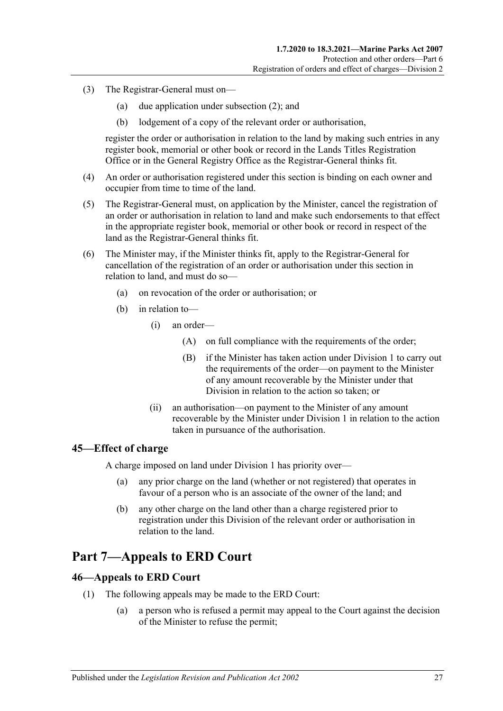- (3) The Registrar-General must on—
	- (a) due application under [subsection](#page-25-4) (2); and
	- (b) lodgement of a copy of the relevant order or authorisation,

register the order or authorisation in relation to the land by making such entries in any register book, memorial or other book or record in the Lands Titles Registration Office or in the General Registry Office as the Registrar-General thinks fit.

- (4) An order or authorisation registered under this section is binding on each owner and occupier from time to time of the land.
- (5) The Registrar-General must, on application by the Minister, cancel the registration of an order or authorisation in relation to land and make such endorsements to that effect in the appropriate register book, memorial or other book or record in respect of the land as the Registrar-General thinks fit.
- (6) The Minister may, if the Minister thinks fit, apply to the Registrar-General for cancellation of the registration of an order or authorisation under this section in relation to land, and must do so—
	- (a) on revocation of the order or authorisation; or
	- (b) in relation to—
		- (i) an order—
			- (A) on full compliance with the requirements of the order;
			- (B) if the Minister has taken action under [Division 1](#page-21-1) to carry out the requirements of the order—on payment to the Minister of any amount recoverable by the Minister under that Division in relation to the action so taken; or
		- (ii) an authorisation—on payment to the Minister of any amount recoverable by the Minister under [Division 1](#page-21-1) in relation to the action taken in pursuance of the authorisation.

#### <span id="page-26-0"></span>**45—Effect of charge**

A charge imposed on land under [Division 1](#page-21-1) has priority over—

- (a) any prior charge on the land (whether or not registered) that operates in favour of a person who is an associate of the owner of the land; and
- (b) any other charge on the land other than a charge registered prior to registration under this Division of the relevant order or authorisation in relation to the land.

# <span id="page-26-1"></span>**Part 7—Appeals to ERD Court**

#### <span id="page-26-2"></span>**46—Appeals to ERD Court**

- <span id="page-26-3"></span>(1) The following appeals may be made to the ERD Court:
	- (a) a person who is refused a permit may appeal to the Court against the decision of the Minister to refuse the permit;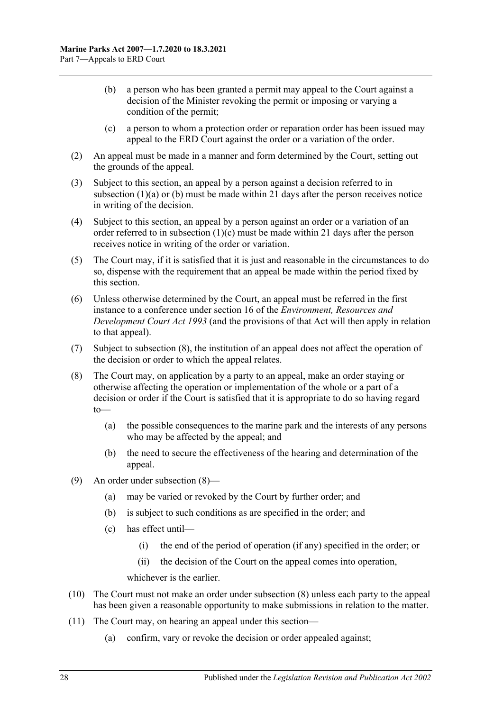- <span id="page-27-0"></span>(b) a person who has been granted a permit may appeal to the Court against a decision of the Minister revoking the permit or imposing or varying a condition of the permit;
- (c) a person to whom a protection order or reparation order has been issued may appeal to the ERD Court against the order or a variation of the order.
- <span id="page-27-1"></span>(2) An appeal must be made in a manner and form determined by the Court, setting out the grounds of the appeal.
- (3) Subject to this section, an appeal by a person against a decision referred to in [subsection](#page-26-3) (1)(a) or [\(b\)](#page-27-0) must be made within 21 days after the person receives notice in writing of the decision.
- (4) Subject to this section, an appeal by a person against an order or a variation of an order referred to in [subsection](#page-27-1)  $(1)(c)$  must be made within 21 days after the person receives notice in writing of the order or variation.
- (5) The Court may, if it is satisfied that it is just and reasonable in the circumstances to do so, dispense with the requirement that an appeal be made within the period fixed by this section.
- (6) Unless otherwise determined by the Court, an appeal must be referred in the first instance to a conference under section 16 of the *[Environment, Resources and](http://www.legislation.sa.gov.au/index.aspx?action=legref&type=act&legtitle=Environment%20Resources%20and%20Development%20Court%20Act%201993)  [Development Court Act](http://www.legislation.sa.gov.au/index.aspx?action=legref&type=act&legtitle=Environment%20Resources%20and%20Development%20Court%20Act%201993) 1993* (and the provisions of that Act will then apply in relation to that appeal).
- (7) Subject to [subsection](#page-27-2) (8), the institution of an appeal does not affect the operation of the decision or order to which the appeal relates.
- <span id="page-27-2"></span>(8) The Court may, on application by a party to an appeal, make an order staying or otherwise affecting the operation or implementation of the whole or a part of a decision or order if the Court is satisfied that it is appropriate to do so having regard to—
	- (a) the possible consequences to the marine park and the interests of any persons who may be affected by the appeal; and
	- (b) the need to secure the effectiveness of the hearing and determination of the appeal.
- (9) An order under [subsection](#page-27-2) (8)—
	- (a) may be varied or revoked by the Court by further order; and
	- (b) is subject to such conditions as are specified in the order; and
	- (c) has effect until—
		- (i) the end of the period of operation (if any) specified in the order; or
		- (ii) the decision of the Court on the appeal comes into operation,

whichever is the earlier.

- (10) The Court must not make an order under [subsection](#page-27-2) (8) unless each party to the appeal has been given a reasonable opportunity to make submissions in relation to the matter.
- (11) The Court may, on hearing an appeal under this section—
	- (a) confirm, vary or revoke the decision or order appealed against;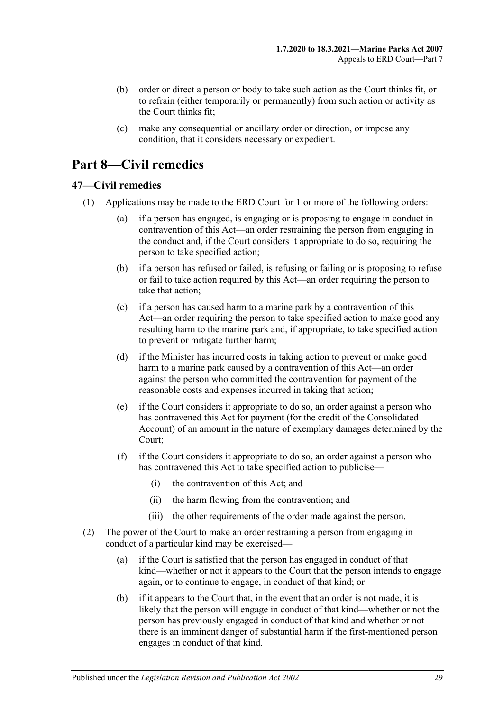- (b) order or direct a person or body to take such action as the Court thinks fit, or to refrain (either temporarily or permanently) from such action or activity as the Court thinks fit;
- (c) make any consequential or ancillary order or direction, or impose any condition, that it considers necessary or expedient.

# <span id="page-28-0"></span>**Part 8—Civil remedies**

## <span id="page-28-1"></span>**47—Civil remedies**

- <span id="page-28-2"></span>(1) Applications may be made to the ERD Court for 1 or more of the following orders:
	- (a) if a person has engaged, is engaging or is proposing to engage in conduct in contravention of this Act—an order restraining the person from engaging in the conduct and, if the Court considers it appropriate to do so, requiring the person to take specified action;
	- (b) if a person has refused or failed, is refusing or failing or is proposing to refuse or fail to take action required by this Act—an order requiring the person to take that action;
	- (c) if a person has caused harm to a marine park by a contravention of this Act—an order requiring the person to take specified action to make good any resulting harm to the marine park and, if appropriate, to take specified action to prevent or mitigate further harm;
	- (d) if the Minister has incurred costs in taking action to prevent or make good harm to a marine park caused by a contravention of this Act—an order against the person who committed the contravention for payment of the reasonable costs and expenses incurred in taking that action;
	- (e) if the Court considers it appropriate to do so, an order against a person who has contravened this Act for payment (for the credit of the Consolidated Account) of an amount in the nature of exemplary damages determined by the Court;
	- (f) if the Court considers it appropriate to do so, an order against a person who has contravened this Act to take specified action to publicise—
		- (i) the contravention of this Act; and
		- (ii) the harm flowing from the contravention; and
		- (iii) the other requirements of the order made against the person.
- (2) The power of the Court to make an order restraining a person from engaging in conduct of a particular kind may be exercised—
	- (a) if the Court is satisfied that the person has engaged in conduct of that kind—whether or not it appears to the Court that the person intends to engage again, or to continue to engage, in conduct of that kind; or
	- (b) if it appears to the Court that, in the event that an order is not made, it is likely that the person will engage in conduct of that kind—whether or not the person has previously engaged in conduct of that kind and whether or not there is an imminent danger of substantial harm if the first-mentioned person engages in conduct of that kind.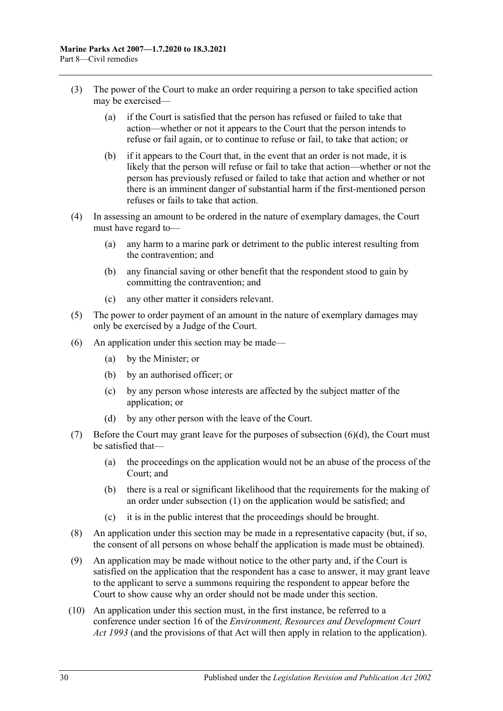- (3) The power of the Court to make an order requiring a person to take specified action may be exercised—
	- (a) if the Court is satisfied that the person has refused or failed to take that action—whether or not it appears to the Court that the person intends to refuse or fail again, or to continue to refuse or fail, to take that action; or
	- (b) if it appears to the Court that, in the event that an order is not made, it is likely that the person will refuse or fail to take that action—whether or not the person has previously refused or failed to take that action and whether or not there is an imminent danger of substantial harm if the first-mentioned person refuses or fails to take that action.
- (4) In assessing an amount to be ordered in the nature of exemplary damages, the Court must have regard to—
	- (a) any harm to a marine park or detriment to the public interest resulting from the contravention; and
	- (b) any financial saving or other benefit that the respondent stood to gain by committing the contravention; and
	- (c) any other matter it considers relevant.
- (5) The power to order payment of an amount in the nature of exemplary damages may only be exercised by a Judge of the Court.
- (6) An application under this section may be made—
	- (a) by the Minister; or
	- (b) by an authorised officer; or
	- (c) by any person whose interests are affected by the subject matter of the application; or
	- (d) by any other person with the leave of the Court.
- <span id="page-29-0"></span>(7) Before the Court may grant leave for the purposes of [subsection](#page-29-0) (6)(d), the Court must be satisfied that—
	- (a) the proceedings on the application would not be an abuse of the process of the Court; and
	- (b) there is a real or significant likelihood that the requirements for the making of an order under [subsection](#page-28-2) (1) on the application would be satisfied; and
	- (c) it is in the public interest that the proceedings should be brought.
- (8) An application under this section may be made in a representative capacity (but, if so, the consent of all persons on whose behalf the application is made must be obtained).
- (9) An application may be made without notice to the other party and, if the Court is satisfied on the application that the respondent has a case to answer, it may grant leave to the applicant to serve a summons requiring the respondent to appear before the Court to show cause why an order should not be made under this section.
- (10) An application under this section must, in the first instance, be referred to a conference under section 16 of the *[Environment, Resources and Development Court](http://www.legislation.sa.gov.au/index.aspx?action=legref&type=act&legtitle=Environment%20Resources%20and%20Development%20Court%20Act%201993)  Act [1993](http://www.legislation.sa.gov.au/index.aspx?action=legref&type=act&legtitle=Environment%20Resources%20and%20Development%20Court%20Act%201993)* (and the provisions of that Act will then apply in relation to the application).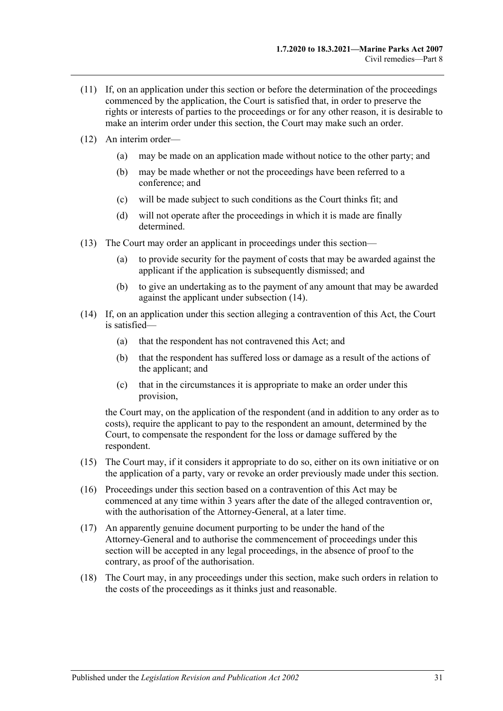- (11) If, on an application under this section or before the determination of the proceedings commenced by the application, the Court is satisfied that, in order to preserve the rights or interests of parties to the proceedings or for any other reason, it is desirable to make an interim order under this section, the Court may make such an order.
- (12) An interim order—
	- (a) may be made on an application made without notice to the other party; and
	- (b) may be made whether or not the proceedings have been referred to a conference; and
	- (c) will be made subject to such conditions as the Court thinks fit; and
	- (d) will not operate after the proceedings in which it is made are finally determined.
- (13) The Court may order an applicant in proceedings under this section—
	- (a) to provide security for the payment of costs that may be awarded against the applicant if the application is subsequently dismissed; and
	- (b) to give an undertaking as to the payment of any amount that may be awarded against the applicant under [subsection](#page-30-0) (14).
- <span id="page-30-0"></span>(14) If, on an application under this section alleging a contravention of this Act, the Court is satisfied—
	- (a) that the respondent has not contravened this Act; and
	- (b) that the respondent has suffered loss or damage as a result of the actions of the applicant; and
	- (c) that in the circumstances it is appropriate to make an order under this provision,

the Court may, on the application of the respondent (and in addition to any order as to costs), require the applicant to pay to the respondent an amount, determined by the Court, to compensate the respondent for the loss or damage suffered by the respondent.

- (15) The Court may, if it considers it appropriate to do so, either on its own initiative or on the application of a party, vary or revoke an order previously made under this section.
- (16) Proceedings under this section based on a contravention of this Act may be commenced at any time within 3 years after the date of the alleged contravention or, with the authorisation of the Attorney-General, at a later time.
- (17) An apparently genuine document purporting to be under the hand of the Attorney-General and to authorise the commencement of proceedings under this section will be accepted in any legal proceedings, in the absence of proof to the contrary, as proof of the authorisation.
- <span id="page-30-1"></span>(18) The Court may, in any proceedings under this section, make such orders in relation to the costs of the proceedings as it thinks just and reasonable.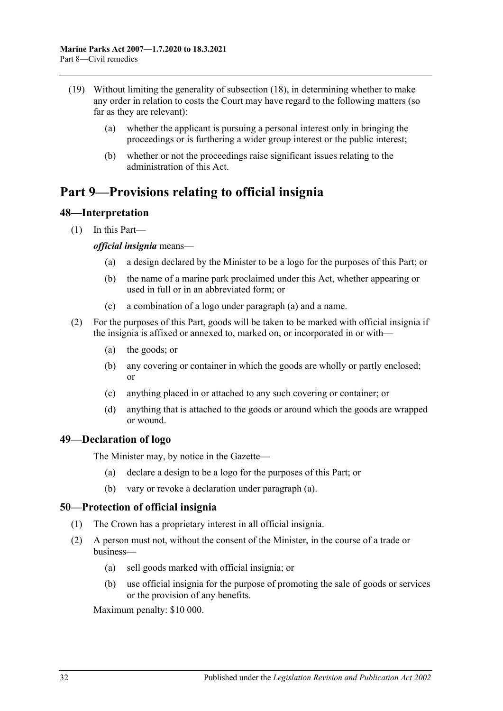- (19) Without limiting the generality of [subsection](#page-30-1) (18), in determining whether to make any order in relation to costs the Court may have regard to the following matters (so far as they are relevant):
	- (a) whether the applicant is pursuing a personal interest only in bringing the proceedings or is furthering a wider group interest or the public interest;
	- (b) whether or not the proceedings raise significant issues relating to the administration of this Act.

# <span id="page-31-0"></span>**Part 9—Provisions relating to official insignia**

## <span id="page-31-1"></span>**48—Interpretation**

<span id="page-31-4"></span>(1) In this Part—

#### *official insignia* means—

- (a) a design declared by the Minister to be a logo for the purposes of this Part; or
- (b) the name of a marine park proclaimed under this Act, whether appearing or used in full or in an abbreviated form; or
- (c) a combination of a logo under [paragraph](#page-31-4) (a) and a name.
- (2) For the purposes of this Part, goods will be taken to be marked with official insignia if the insignia is affixed or annexed to, marked on, or incorporated in or with—
	- (a) the goods; or
	- (b) any covering or container in which the goods are wholly or partly enclosed; or
	- (c) anything placed in or attached to any such covering or container; or
	- (d) anything that is attached to the goods or around which the goods are wrapped or wound.

#### <span id="page-31-5"></span><span id="page-31-2"></span>**49—Declaration of logo**

The Minister may, by notice in the Gazette—

- (a) declare a design to be a logo for the purposes of this Part; or
- (b) vary or revoke a declaration under [paragraph](#page-31-5) (a).

#### <span id="page-31-3"></span>**50—Protection of official insignia**

- (1) The Crown has a proprietary interest in all official insignia.
- <span id="page-31-6"></span>(2) A person must not, without the consent of the Minister, in the course of a trade or business—
	- (a) sell goods marked with official insignia; or
	- (b) use official insignia for the purpose of promoting the sale of goods or services or the provision of any benefits.

Maximum penalty: \$10 000.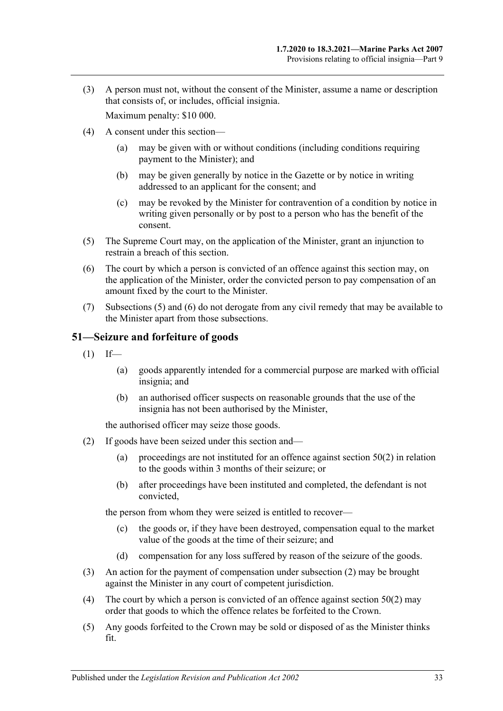(3) A person must not, without the consent of the Minister, assume a name or description that consists of, or includes, official insignia.

Maximum penalty: \$10 000.

- (4) A consent under this section—
	- (a) may be given with or without conditions (including conditions requiring payment to the Minister); and
	- (b) may be given generally by notice in the Gazette or by notice in writing addressed to an applicant for the consent; and
	- (c) may be revoked by the Minister for contravention of a condition by notice in writing given personally or by post to a person who has the benefit of the consent.
- <span id="page-32-1"></span>(5) The Supreme Court may, on the application of the Minister, grant an injunction to restrain a breach of this section.
- <span id="page-32-2"></span>(6) The court by which a person is convicted of an offence against this section may, on the application of the Minister, order the convicted person to pay compensation of an amount fixed by the court to the Minister.
- (7) [Subsections](#page-32-1) (5) and [\(6\)](#page-32-2) do not derogate from any civil remedy that may be available to the Minister apart from those subsections.

## <span id="page-32-0"></span>**51—Seizure and forfeiture of goods**

- $(1)$  If—
	- (a) goods apparently intended for a commercial purpose are marked with official insignia; and
	- (b) an authorised officer suspects on reasonable grounds that the use of the insignia has not been authorised by the Minister,

the authorised officer may seize those goods.

- <span id="page-32-3"></span>(2) If goods have been seized under this section and
	- (a) proceedings are not instituted for an offence against [section](#page-31-6)  $50(2)$  in relation to the goods within 3 months of their seizure; or
	- (b) after proceedings have been instituted and completed, the defendant is not convicted,

the person from whom they were seized is entitled to recover—

- (c) the goods or, if they have been destroyed, compensation equal to the market value of the goods at the time of their seizure; and
- (d) compensation for any loss suffered by reason of the seizure of the goods.
- (3) An action for the payment of compensation under [subsection](#page-32-3) (2) may be brought against the Minister in any court of competent jurisdiction.
- (4) The court by which a person is convicted of an offence against [section](#page-31-6)  $50(2)$  may order that goods to which the offence relates be forfeited to the Crown.
- (5) Any goods forfeited to the Crown may be sold or disposed of as the Minister thinks fit.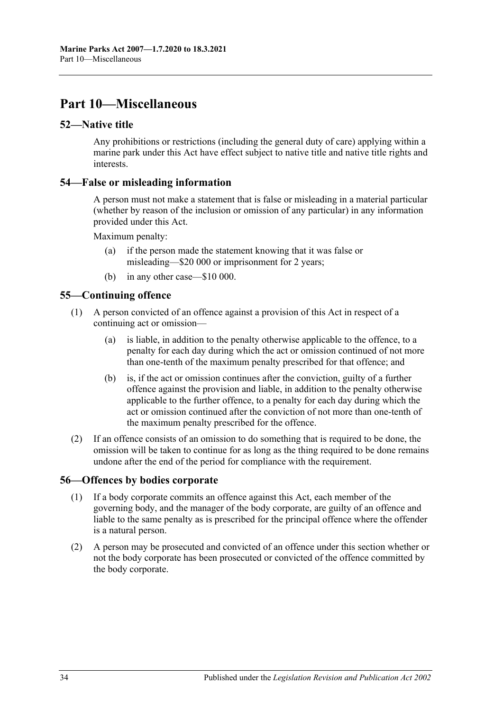# <span id="page-33-0"></span>**Part 10—Miscellaneous**

#### <span id="page-33-1"></span>**52—Native title**

Any prohibitions or restrictions (including the general duty of care) applying within a marine park under this Act have effect subject to native title and native title rights and interests.

#### <span id="page-33-2"></span>**54—False or misleading information**

A person must not make a statement that is false or misleading in a material particular (whether by reason of the inclusion or omission of any particular) in any information provided under this Act.

Maximum penalty:

- (a) if the person made the statement knowing that it was false or misleading—\$20 000 or imprisonment for 2 years;
- (b) in any other case—\$10 000.

## <span id="page-33-3"></span>**55—Continuing offence**

- (1) A person convicted of an offence against a provision of this Act in respect of a continuing act or omission—
	- (a) is liable, in addition to the penalty otherwise applicable to the offence, to a penalty for each day during which the act or omission continued of not more than one-tenth of the maximum penalty prescribed for that offence; and
	- (b) is, if the act or omission continues after the conviction, guilty of a further offence against the provision and liable, in addition to the penalty otherwise applicable to the further offence, to a penalty for each day during which the act or omission continued after the conviction of not more than one-tenth of the maximum penalty prescribed for the offence.
- (2) If an offence consists of an omission to do something that is required to be done, the omission will be taken to continue for as long as the thing required to be done remains undone after the end of the period for compliance with the requirement.

#### <span id="page-33-4"></span>**56—Offences by bodies corporate**

- (1) If a body corporate commits an offence against this Act, each member of the governing body, and the manager of the body corporate, are guilty of an offence and liable to the same penalty as is prescribed for the principal offence where the offender is a natural person.
- (2) A person may be prosecuted and convicted of an offence under this section whether or not the body corporate has been prosecuted or convicted of the offence committed by the body corporate.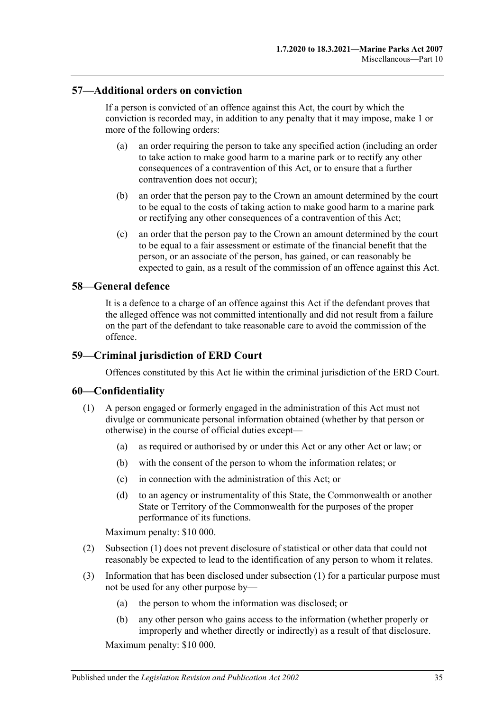#### <span id="page-34-0"></span>**57—Additional orders on conviction**

If a person is convicted of an offence against this Act, the court by which the conviction is recorded may, in addition to any penalty that it may impose, make 1 or more of the following orders:

- (a) an order requiring the person to take any specified action (including an order to take action to make good harm to a marine park or to rectify any other consequences of a contravention of this Act, or to ensure that a further contravention does not occur);
- (b) an order that the person pay to the Crown an amount determined by the court to be equal to the costs of taking action to make good harm to a marine park or rectifying any other consequences of a contravention of this Act;
- (c) an order that the person pay to the Crown an amount determined by the court to be equal to a fair assessment or estimate of the financial benefit that the person, or an associate of the person, has gained, or can reasonably be expected to gain, as a result of the commission of an offence against this Act.

## <span id="page-34-1"></span>**58—General defence**

It is a defence to a charge of an offence against this Act if the defendant proves that the alleged offence was not committed intentionally and did not result from a failure on the part of the defendant to take reasonable care to avoid the commission of the offence.

#### <span id="page-34-2"></span>**59—Criminal jurisdiction of ERD Court**

Offences constituted by this Act lie within the criminal jurisdiction of the ERD Court.

#### <span id="page-34-4"></span><span id="page-34-3"></span>**60—Confidentiality**

- (1) A person engaged or formerly engaged in the administration of this Act must not divulge or communicate personal information obtained (whether by that person or otherwise) in the course of official duties except—
	- (a) as required or authorised by or under this Act or any other Act or law; or
	- (b) with the consent of the person to whom the information relates; or
	- (c) in connection with the administration of this Act; or
	- (d) to an agency or instrumentality of this State, the Commonwealth or another State or Territory of the Commonwealth for the purposes of the proper performance of its functions.

Maximum penalty: \$10 000.

- (2) [Subsection](#page-34-4) (1) does not prevent disclosure of statistical or other data that could not reasonably be expected to lead to the identification of any person to whom it relates.
- (3) Information that has been disclosed under [subsection](#page-34-4) (1) for a particular purpose must not be used for any other purpose by—
	- (a) the person to whom the information was disclosed; or
	- (b) any other person who gains access to the information (whether properly or improperly and whether directly or indirectly) as a result of that disclosure.

Maximum penalty: \$10 000.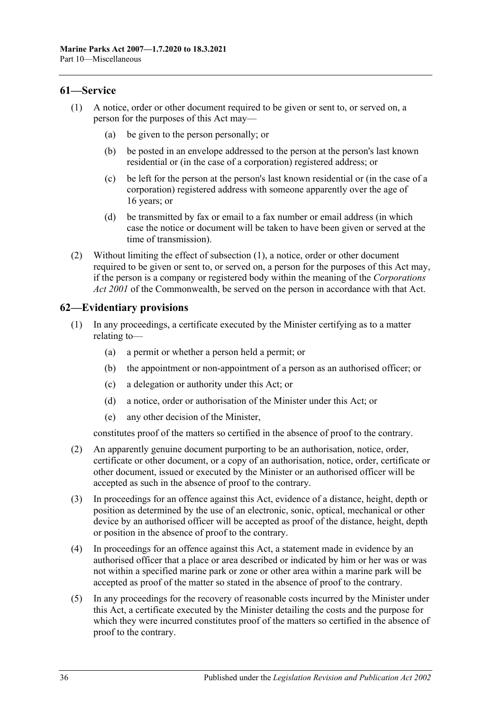#### <span id="page-35-2"></span><span id="page-35-0"></span>**61—Service**

- (1) A notice, order or other document required to be given or sent to, or served on, a person for the purposes of this Act may—
	- (a) be given to the person personally; or
	- (b) be posted in an envelope addressed to the person at the person's last known residential or (in the case of a corporation) registered address; or
	- (c) be left for the person at the person's last known residential or (in the case of a corporation) registered address with someone apparently over the age of 16 years; or
	- (d) be transmitted by fax or email to a fax number or email address (in which case the notice or document will be taken to have been given or served at the time of transmission).
- (2) Without limiting the effect of [subsection](#page-35-2) (1), a notice, order or other document required to be given or sent to, or served on, a person for the purposes of this Act may, if the person is a company or registered body within the meaning of the *Corporations Act 2001* of the Commonwealth, be served on the person in accordance with that Act.

## <span id="page-35-1"></span>**62—Evidentiary provisions**

- (1) In any proceedings, a certificate executed by the Minister certifying as to a matter relating to—
	- (a) a permit or whether a person held a permit; or
	- (b) the appointment or non-appointment of a person as an authorised officer; or
	- (c) a delegation or authority under this Act; or
	- (d) a notice, order or authorisation of the Minister under this Act; or
	- (e) any other decision of the Minister,

constitutes proof of the matters so certified in the absence of proof to the contrary.

- (2) An apparently genuine document purporting to be an authorisation, notice, order, certificate or other document, or a copy of an authorisation, notice, order, certificate or other document, issued or executed by the Minister or an authorised officer will be accepted as such in the absence of proof to the contrary.
- (3) In proceedings for an offence against this Act, evidence of a distance, height, depth or position as determined by the use of an electronic, sonic, optical, mechanical or other device by an authorised officer will be accepted as proof of the distance, height, depth or position in the absence of proof to the contrary.
- (4) In proceedings for an offence against this Act, a statement made in evidence by an authorised officer that a place or area described or indicated by him or her was or was not within a specified marine park or zone or other area within a marine park will be accepted as proof of the matter so stated in the absence of proof to the contrary.
- (5) In any proceedings for the recovery of reasonable costs incurred by the Minister under this Act, a certificate executed by the Minister detailing the costs and the purpose for which they were incurred constitutes proof of the matters so certified in the absence of proof to the contrary.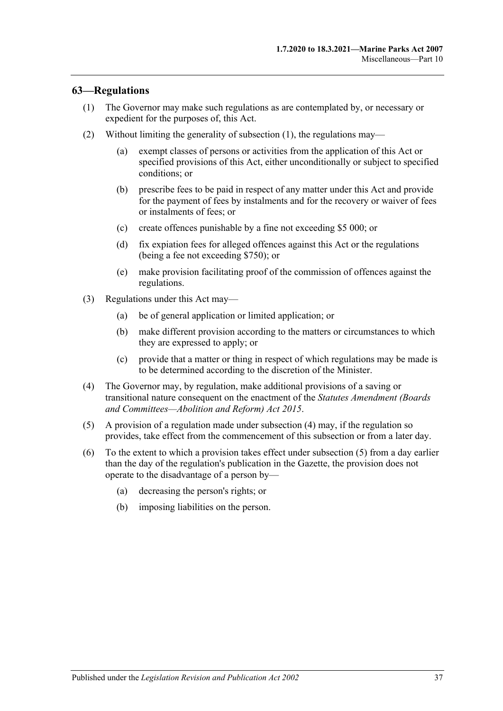## <span id="page-36-1"></span><span id="page-36-0"></span>**63—Regulations**

- (1) The Governor may make such regulations as are contemplated by, or necessary or expedient for the purposes of, this Act.
- (2) Without limiting the generality of [subsection](#page-36-1) (1), the regulations may—
	- (a) exempt classes of persons or activities from the application of this Act or specified provisions of this Act, either unconditionally or subject to specified conditions; or
	- (b) prescribe fees to be paid in respect of any matter under this Act and provide for the payment of fees by instalments and for the recovery or waiver of fees or instalments of fees; or
	- (c) create offences punishable by a fine not exceeding \$5 000; or
	- (d) fix expiation fees for alleged offences against this Act or the regulations (being a fee not exceeding \$750); or
	- (e) make provision facilitating proof of the commission of offences against the regulations.
- (3) Regulations under this Act may—
	- (a) be of general application or limited application; or
	- (b) make different provision according to the matters or circumstances to which they are expressed to apply; or
	- (c) provide that a matter or thing in respect of which regulations may be made is to be determined according to the discretion of the Minister.
- <span id="page-36-2"></span>(4) The Governor may, by regulation, make additional provisions of a saving or transitional nature consequent on the enactment of the *[Statutes Amendment \(Boards](http://www.legislation.sa.gov.au/index.aspx?action=legref&type=act&legtitle=Statutes%20Amendment%20(Boards%20and%20Committees%E2%80%94Abolition%20and%20Reform)%20Act%202015)  [and Committees—Abolition and Reform\) Act](http://www.legislation.sa.gov.au/index.aspx?action=legref&type=act&legtitle=Statutes%20Amendment%20(Boards%20and%20Committees%E2%80%94Abolition%20and%20Reform)%20Act%202015) 2015*.
- <span id="page-36-3"></span>(5) A provision of a regulation made under [subsection](#page-36-2) (4) may, if the regulation so provides, take effect from the commencement of this subsection or from a later day.
- (6) To the extent to which a provision takes effect under [subsection](#page-36-3) (5) from a day earlier than the day of the regulation's publication in the Gazette, the provision does not operate to the disadvantage of a person by—
	- (a) decreasing the person's rights; or
	- (b) imposing liabilities on the person.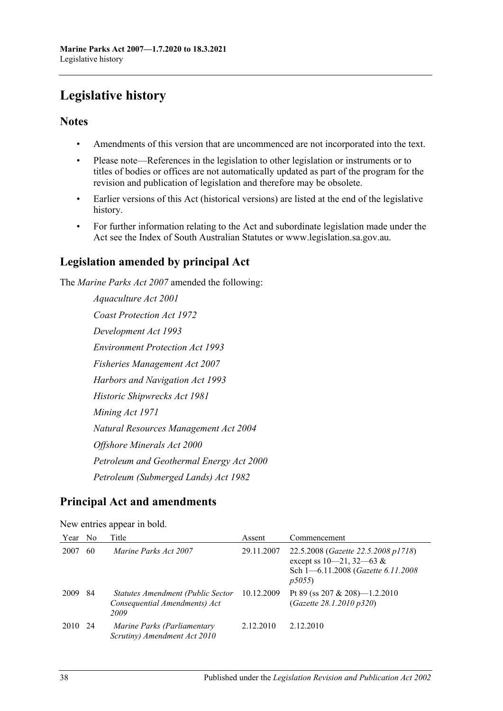# <span id="page-37-0"></span>**Legislative history**

# **Notes**

- Amendments of this version that are uncommenced are not incorporated into the text.
- Please note—References in the legislation to other legislation or instruments or to titles of bodies or offices are not automatically updated as part of the program for the revision and publication of legislation and therefore may be obsolete.
- Earlier versions of this Act (historical versions) are listed at the end of the legislative history.
- For further information relating to the Act and subordinate legislation made under the Act see the Index of South Australian Statutes or www.legislation.sa.gov.au.

# **Legislation amended by principal Act**

The *Marine Parks Act 2007* amended the following:

*Aquaculture Act 2001 Coast Protection Act 1972 Development Act 1993 Environment Protection Act 1993 Fisheries Management Act 2007 Harbors and Navigation Act 1993 Historic Shipwrecks Act 1981 Mining Act 1971 Natural Resources Management Act 2004 Offshore Minerals Act 2000 Petroleum and Geothermal Energy Act 2000 Petroleum (Submerged Lands) Act 1982*

# **Principal Act and amendments**

|      |                | $\mathbf{1}$                                                               |            |                                                                                                                               |
|------|----------------|----------------------------------------------------------------------------|------------|-------------------------------------------------------------------------------------------------------------------------------|
| Year | N <sub>0</sub> | Title                                                                      | Assent     | Commencement                                                                                                                  |
| 2007 | 60             | Marine Parks Act 2007                                                      | 29.11.2007 | 22.5.2008 ( <i>Gazette 22.5.2008 p1718</i> )<br>except ss $10-21$ , $32-63$ &<br>Sch 1-6.11.2008 (Gazette 6.11.2008)<br>p5055 |
| 2009 | 84             | Statutes Amendment (Public Sector<br>Consequential Amendments) Act<br>2009 | 10.12.2009 | Pt 89 (ss 207 & 208) $-1.2.2010$<br>(Gazette 28.1.2010 p320)                                                                  |
| 2010 | 24             | Marine Parks (Parliamentary<br>Scrutiny) Amendment Act 2010                | 2.12.2010  | 2.12.2010                                                                                                                     |

New entries appear in bold.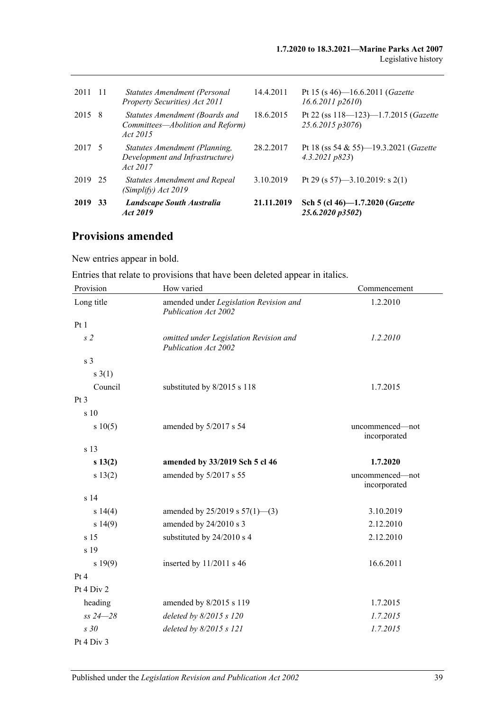| 2011    | $\overline{11}$ | Statutes Amendment (Personal<br>Property Securities) Act 2011                  | 14.4.2011  | Pt 15 (s 46)—16.6.2011 ( <i>Gazette</i><br>$16.6.2011$ $p2610$ |
|---------|-----------------|--------------------------------------------------------------------------------|------------|----------------------------------------------------------------|
| 2015    | - 8             | Statutes Amendment (Boards and<br>Committees-Abolition and Reform)<br>Act 2015 | 18.6.2015  | Pt 22 (ss $118 - 123 - 1.7.2015$ (Gazette<br>25.6.2015 p3076)  |
| 2017 5  |                 | Statutes Amendment (Planning,<br>Development and Infrastructure)<br>Act 2017   | 28.2.2017  | Pt 18 (ss 54 & 55)—19.3.2021 (Gazette<br>4.3.2021 p823         |
| 2019 25 |                 | Statutes Amendment and Repeal<br>(Simplify) Act 2019                           | 3.10.2019  | Pt 29 (s 57)—3.10.2019: s 2(1)                                 |
| 2019    | 33              | Landscape South Australia<br>Act 2019                                          | 21.11.2019 | Sch 5 (cl 46)-1.7.2020 (Gazette<br>25.6.2020 p3502)            |

# **Provisions amended**

New entries appear in bold.

Entries that relate to provisions that have been deleted appear in italics.

| Provision       | How varied                                                            | Commencement                    |
|-----------------|-----------------------------------------------------------------------|---------------------------------|
| Long title      | amended under Legislation Revision and<br><b>Publication Act 2002</b> | 1.2.2010                        |
| Pt 1            |                                                                       |                                 |
| s <sub>2</sub>  | omitted under Legislation Revision and<br>Publication Act 2002        | 1.2.2010                        |
| s <sub>3</sub>  |                                                                       |                                 |
| s(1)            |                                                                       |                                 |
| Council         | substituted by 8/2015 s 118                                           | 1.7.2015                        |
| Pt <sub>3</sub> |                                                                       |                                 |
| s 10            |                                                                       |                                 |
| s 10(5)         | amended by 5/2017 s 54                                                | uncommenced-not<br>incorporated |
| s 13            |                                                                       |                                 |
| s 13(2)         | amended by 33/2019 Sch 5 cl 46                                        | 1.7.2020                        |
| s 13(2)         | amended by 5/2017 s 55                                                | uncommenced-not<br>incorporated |
| s <sub>14</sub> |                                                                       |                                 |
| s 14(4)         | amended by $25/2019$ s $57(1)$ —(3)                                   | 3.10.2019                       |
| s 14(9)         | amended by 24/2010 s 3                                                | 2.12.2010                       |
| s <sub>15</sub> | substituted by 24/2010 s 4                                            | 2.12.2010                       |
| s 19            |                                                                       |                                 |
| s 19(9)         | inserted by $11/2011$ s 46                                            | 16.6.2011                       |
| Pt 4            |                                                                       |                                 |
| Pt 4 Div 2      |                                                                       |                                 |
| heading         | amended by 8/2015 s 119                                               | 1.7.2015                        |
| $ss 24 - 28$    | deleted by 8/2015 s 120                                               | 1.7.2015                        |
| s30             | deleted by 8/2015 s 121                                               | 1.7.2015                        |
| Pt 4 Div 3      |                                                                       |                                 |